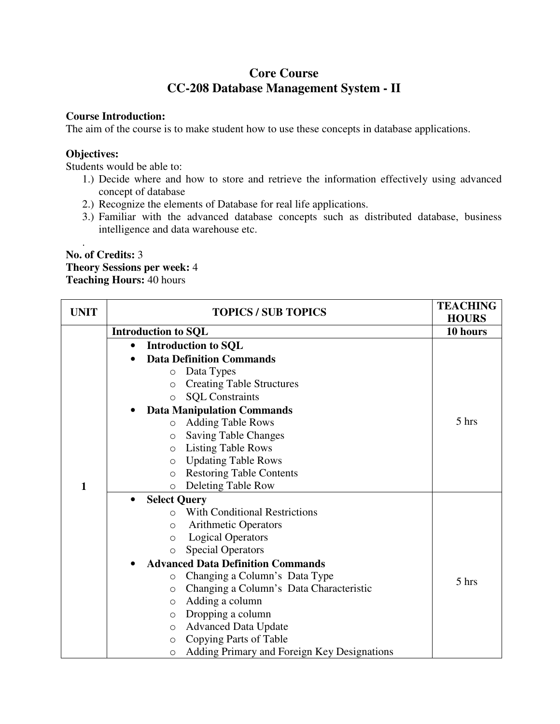# **Core Course CC-208 Database Management System - II**

#### **Course Introduction:**

The aim of the course is to make student how to use these concepts in database applications.

#### **Objectives:**

.

Students would be able to:

- 1.) Decide where and how to store and retrieve the information effectively using advanced concept of database
- 2.) Recognize the elements of Database for real life applications.
- 3.) Familiar with the advanced database concepts such as distributed database, business intelligence and data warehouse etc.

#### **No. of Credits:** 3 **Theory Sessions per week:** 4 **Teaching Hours:** 40 hours

| <b>UNIT</b> |           | <b>TOPICS / SUB TOPICS</b>                             | <b>TEACHING</b><br><b>HOURS</b> |
|-------------|-----------|--------------------------------------------------------|---------------------------------|
|             |           | <b>Introduction to SQL</b>                             | 10 hours                        |
|             |           | <b>Introduction to SQL</b>                             |                                 |
|             |           | <b>Data Definition Commands</b>                        |                                 |
|             |           | Data Types<br>$\Omega$                                 |                                 |
|             |           | <b>Creating Table Structures</b><br>$\Omega$           |                                 |
|             |           | <b>SQL Constraints</b><br>$\circ$                      |                                 |
|             |           | <b>Data Manipulation Commands</b>                      |                                 |
|             |           | <b>Adding Table Rows</b><br>$\Omega$                   | 5 hrs                           |
|             |           | <b>Saving Table Changes</b><br>$\circ$                 |                                 |
|             |           | <b>Listing Table Rows</b><br>$\circ$                   |                                 |
|             |           | <b>Updating Table Rows</b><br>$\circ$                  |                                 |
|             |           | <b>Restoring Table Contents</b><br>$\Omega$            |                                 |
| 1           |           | Deleting Table Row<br>$\Omega$                         |                                 |
|             | $\bullet$ | <b>Select Query</b>                                    |                                 |
|             |           | <b>With Conditional Restrictions</b><br>$\bigcirc$     |                                 |
|             |           | <b>Arithmetic Operators</b><br>$\circ$                 |                                 |
|             |           | <b>Logical Operators</b><br>$\circ$                    |                                 |
|             |           | <b>Special Operators</b><br>$\circ$                    |                                 |
|             |           | <b>Advanced Data Definition Commands</b>               |                                 |
|             |           | Changing a Column's Data Type<br>$\circ$               | 5 hrs                           |
|             |           | Changing a Column's Data Characteristic<br>$\circ$     |                                 |
|             |           | Adding a column<br>$\circ$                             |                                 |
|             |           | Dropping a column<br>$\circ$                           |                                 |
|             |           | <b>Advanced Data Update</b><br>$\circ$                 |                                 |
|             |           | Copying Parts of Table<br>$\circ$                      |                                 |
|             |           | Adding Primary and Foreign Key Designations<br>$\circ$ |                                 |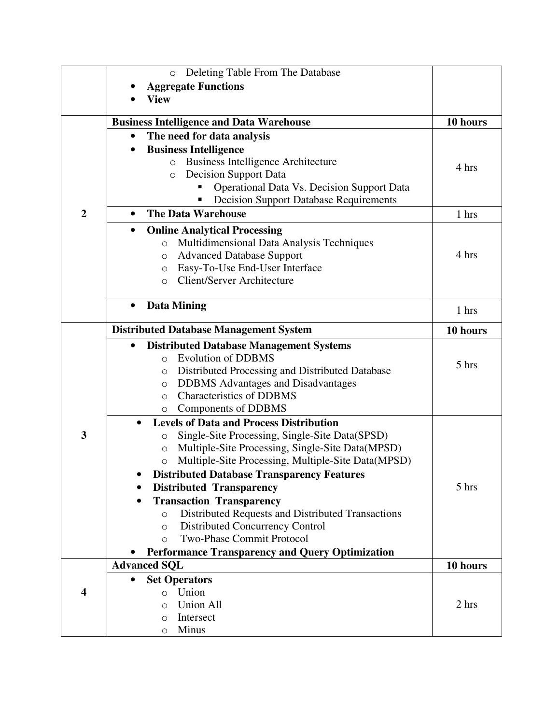|                         | Deleting Table From The Database<br>$\Omega$                 |          |
|-------------------------|--------------------------------------------------------------|----------|
|                         | <b>Aggregate Functions</b>                                   |          |
|                         | <b>View</b>                                                  |          |
|                         |                                                              |          |
|                         | <b>Business Intelligence and Data Warehouse</b>              | 10 hours |
|                         | The need for data analysis<br>$\bullet$                      |          |
|                         | <b>Business Intelligence</b><br>٠                            |          |
|                         | <b>Business Intelligence Architecture</b><br>$\circ$         | 4 hrs    |
|                         | <b>Decision Support Data</b><br>$\circ$                      |          |
|                         | <b>Operational Data Vs. Decision Support Data</b>            |          |
|                         | <b>Decision Support Database Requirements</b><br>Ξ           |          |
| $\overline{2}$          | <b>The Data Warehouse</b><br>$\bullet$                       | 1 hrs    |
|                         | <b>Online Analytical Processing</b><br>٠                     |          |
|                         | Multidimensional Data Analysis Techniques<br>$\circ$         |          |
|                         | <b>Advanced Database Support</b><br>O                        | 4 hrs    |
|                         | Easy-To-Use End-User Interface<br>O                          |          |
|                         | <b>Client/Server Architecture</b><br>$\circ$                 |          |
|                         |                                                              |          |
|                         | <b>Data Mining</b><br>$\bullet$                              | 1 hrs    |
|                         | <b>Distributed Database Management System</b>                | 10 hours |
|                         | <b>Distributed Database Management Systems</b><br>٠          |          |
|                         | <b>Evolution of DDBMS</b><br>$\Omega$                        |          |
|                         | Distributed Processing and Distributed Database<br>$\circ$   | 5 hrs    |
|                         | <b>DDBMS</b> Advantages and Disadvantages<br>$\circ$         |          |
|                         | <b>Characteristics of DDBMS</b><br>$\Omega$                  |          |
|                         | Components of DDBMS<br>O                                     |          |
|                         | <b>Levels of Data and Process Distribution</b><br>$\bullet$  |          |
| 3                       | Single-Site Processing, Single-Site Data(SPSD)<br>O          |          |
|                         | Multiple-Site Processing, Single-Site Data(MPSD)<br>O        |          |
|                         | Multiple-Site Processing, Multiple-Site Data(MPSD)<br>O      |          |
|                         | <b>Distributed Database Transparency Features</b>            |          |
|                         | <b>Distributed Transparency</b>                              | 5 hrs    |
|                         | <b>Transaction Transparency</b>                              |          |
|                         | Distributed Requests and Distributed Transactions<br>$\circ$ |          |
|                         | <b>Distributed Concurrency Control</b><br>$\circ$            |          |
|                         | <b>Two-Phase Commit Protocol</b><br>$\circ$                  |          |
|                         | <b>Performance Transparency and Query Optimization</b>       |          |
|                         | <b>Advanced SQL</b>                                          | 10 hours |
|                         | <b>Set Operators</b><br>$\bullet$                            |          |
| $\overline{\mathbf{4}}$ | Union<br>$\Omega$                                            |          |
|                         | <b>Union All</b><br>$\bigcirc$                               | 2 hrs    |
|                         | Intersect<br>$\Omega$                                        |          |
|                         | Minus<br>$\circ$                                             |          |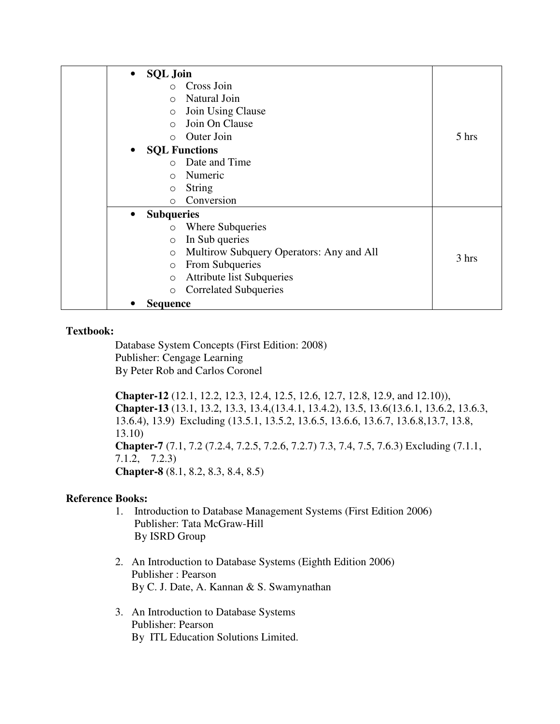| <b>SQL Join</b><br>$\bullet$                        |       |
|-----------------------------------------------------|-------|
| Cross Join<br>$\bigcap$                             |       |
| Natural Join<br>$\bigcirc$                          |       |
| Join Using Clause<br>$\circ$                        |       |
| Join On Clause<br>$\bigcirc$                        |       |
| Outer Join<br>$\bigcirc$                            | 5 hrs |
| <b>SQL Functions</b>                                |       |
| Date and Time<br>$\cap$                             |       |
| Numeric<br>$\bigcirc$                               |       |
| <b>String</b><br>$\circ$                            |       |
| Conversion<br>$\bigcirc$                            |       |
| <b>Subqueries</b><br>$\bullet$                      |       |
| Where Subqueries<br>$\circ$                         |       |
| In Sub queries<br>$\circ$                           |       |
| Multirow Subquery Operators: Any and All<br>$\circ$ | 3 hrs |
| From Subqueries<br>$\circ$                          |       |
| <b>Attribute list Subqueries</b><br>$\circ$         |       |
| <b>Correlated Subqueries</b><br>$\circ$             |       |
| Sequence                                            |       |

Database System Concepts (First Edition: 2008) Publisher: Cengage Learning By Peter Rob and Carlos Coronel

**Chapter-12** (12.1, 12.2, 12.3, 12.4, 12.5, 12.6, 12.7, 12.8, 12.9, and 12.10)), **Chapter-13** (13.1, 13.2, 13.3, 13.4,(13.4.1, 13.4.2), 13.5, 13.6(13.6.1, 13.6.2, 13.6.3, 13.6.4), 13.9) Excluding (13.5.1, 13.5.2, 13.6.5, 13.6.6, 13.6.7, 13.6.8,13.7, 13.8, 13.10) **Chapter-7** (7.1, 7.2 (7.2.4, 7.2.5, 7.2.6, 7.2.7) 7.3, 7.4, 7.5, 7.6.3) Excluding (7.1.1, 7.1.2, 7.2.3) **Chapter-8** (8.1, 8.2, 8.3, 8.4, 8.5)

# **Reference Books:**

- 1. Introduction to Database Management Systems (First Edition 2006) Publisher: Tata McGraw-Hill By ISRD Group
- 2. An Introduction to Database Systems (Eighth Edition 2006) Publisher : Pearson By C. J. Date, A. Kannan & S. Swamynathan
- 3. An Introduction to Database Systems Publisher: Pearson By ITL Education Solutions Limited.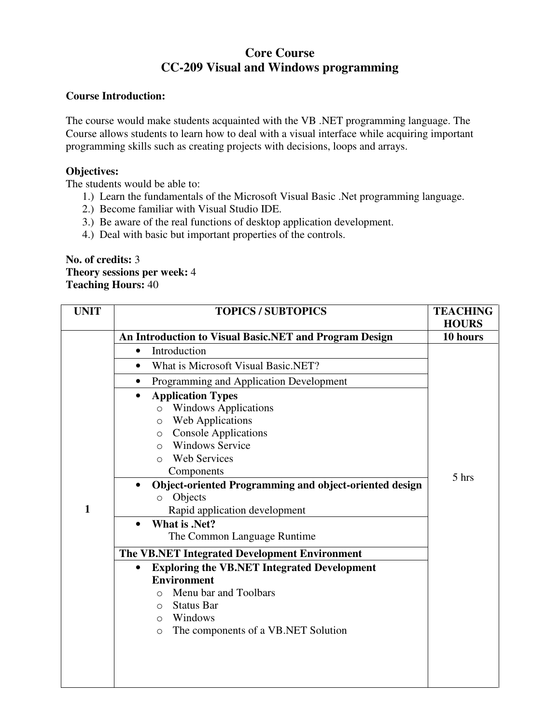# **Core Course CC-209 Visual and Windows programming**

### **Course Introduction:**

The course would make students acquainted with the VB .NET programming language. The Course allows students to learn how to deal with a visual interface while acquiring important programming skills such as creating projects with decisions, loops and arrays.

# **Objectives:**

The students would be able to:

- 1.) Learn the fundamentals of the Microsoft Visual Basic .Net programming language.
- 2.) Become familiar with Visual Studio IDE.
- 3.) Be aware of the real functions of desktop application development.
- 4.) Deal with basic but important properties of the controls.

#### **No. of credits:** 3 **Theory sessions per week:** 4 **Teaching Hours:** 40

| <b>UNIT</b>  | <b>TOPICS / SUBTOPICS</b>                                       | <b>TEACHING</b> |
|--------------|-----------------------------------------------------------------|-----------------|
|              |                                                                 | <b>HOURS</b>    |
|              | An Introduction to Visual Basic.NET and Program Design          | 10 hours        |
|              | Introduction<br>$\bullet$                                       |                 |
|              | What is Microsoft Visual Basic.NET?<br>$\bullet$                |                 |
|              | Programming and Application Development                         |                 |
|              | <b>Application Types</b>                                        |                 |
|              | <b>Windows Applications</b><br>$\circ$                          |                 |
|              | <b>Web Applications</b><br>O                                    |                 |
|              | <b>Console Applications</b><br>$\circ$                          |                 |
|              | <b>Windows Service</b><br>$\bigcirc$                            |                 |
|              | <b>Web Services</b><br>$\bigcirc$                               |                 |
|              | Components                                                      | 5 hrs           |
|              | Object-oriented Programming and object-oriented design          |                 |
|              | Objects<br>$\circ$                                              |                 |
| $\mathbf{1}$ | Rapid application development                                   |                 |
|              | <b>What is .Net?</b>                                            |                 |
|              | The Common Language Runtime                                     |                 |
|              | The VB.NET Integrated Development Environment                   |                 |
|              | <b>Exploring the VB.NET Integrated Development</b><br>$\bullet$ |                 |
|              | <b>Environment</b>                                              |                 |
|              | Menu bar and Toolbars<br>$\bigcirc$                             |                 |
|              | <b>Status Bar</b><br>O                                          |                 |
|              | Windows<br>$\circ$                                              |                 |
|              | The components of a VB.NET Solution<br>$\circ$                  |                 |
|              |                                                                 |                 |
|              |                                                                 |                 |
|              |                                                                 |                 |
|              |                                                                 |                 |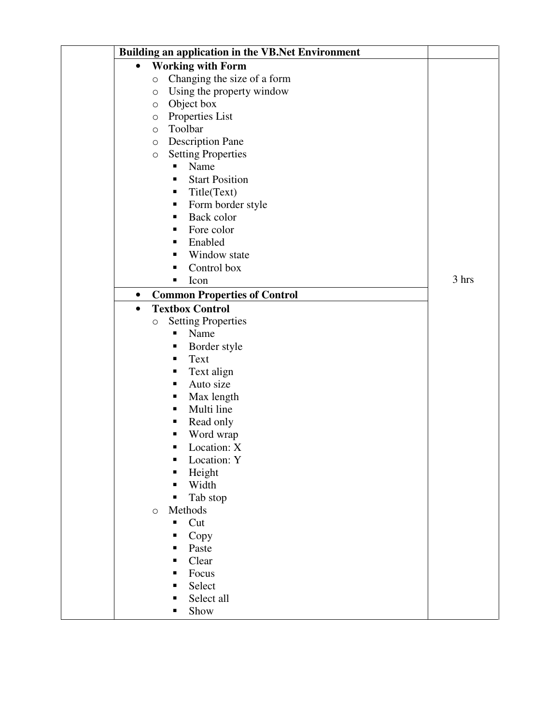| Building an application in the VB.Net Environment |       |
|---------------------------------------------------|-------|
| <b>Working with Form</b><br>$\bullet$             |       |
| Changing the size of a form<br>$\circ$            |       |
| Using the property window<br>$\bigcirc$           |       |
| Object box<br>$\circ$                             |       |
| Properties List<br>O                              |       |
| Toolbar<br>O                                      |       |
| <b>Description Pane</b><br>$\circ$                |       |
| <b>Setting Properties</b><br>$\circ$              |       |
| Name<br>π                                         |       |
| <b>Start Position</b><br>п                        |       |
| Title(Text)<br>ш                                  |       |
| Form border style<br>п                            |       |
| Back color<br>п                                   |       |
| Fore color<br>٠                                   |       |
| Enabled<br>٠                                      |       |
| Window state<br>п                                 |       |
| Control box<br>п                                  |       |
| Icon<br>п                                         | 3 hrs |
| <b>Common Properties of Control</b><br>$\bullet$  |       |
| <b>Textbox Control</b><br>$\bullet$               |       |
| <b>Setting Properties</b><br>$\bigcirc$           |       |
| Name<br>Ξ                                         |       |
| Border style<br>п                                 |       |
| Text<br>п                                         |       |
| Text align<br>٠                                   |       |
| Auto size<br>٠                                    |       |
| Max length<br>Е                                   |       |
| Multi line<br>П                                   |       |
| Read only<br>п                                    |       |
| Word wrap                                         |       |
| Location: X<br>п                                  |       |
| Location: Y                                       |       |
| Height                                            |       |
| Width                                             |       |
| Tab stop                                          |       |
| Methods<br>$\circ$                                |       |
| Cut<br>п                                          |       |
| Copy                                              |       |
| Paste                                             |       |
| Clear                                             |       |
| Focus                                             |       |
| Select                                            |       |
| Select all                                        |       |
| Show<br>п                                         |       |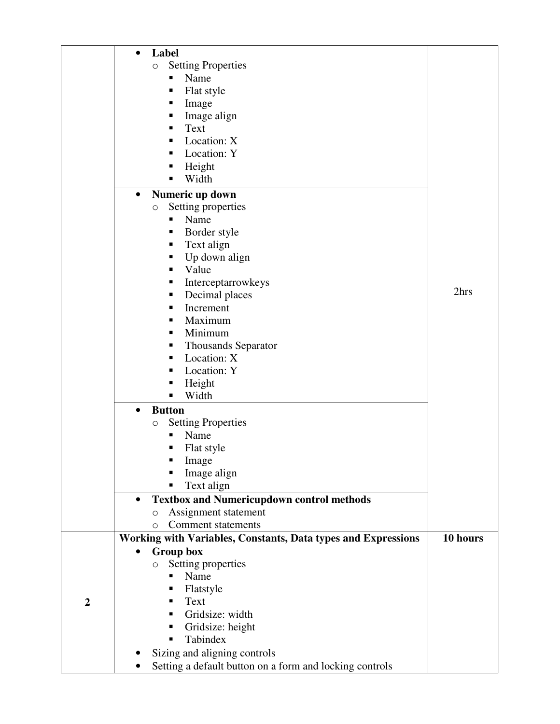|                | $\bullet$ | Label                                                         |          |
|----------------|-----------|---------------------------------------------------------------|----------|
|                |           | <b>Setting Properties</b><br>$\bigcirc$                       |          |
|                |           | Name                                                          |          |
|                |           | Flat style<br>Е                                               |          |
|                |           | Image<br>п                                                    |          |
|                |           | Image align                                                   |          |
|                |           | Text                                                          |          |
|                |           | Location: X                                                   |          |
|                |           | Location: Y<br>п                                              |          |
|                |           | Height<br>п                                                   |          |
|                |           | Width<br>п                                                    |          |
|                | $\bullet$ | Numeric up down                                               |          |
|                |           | Setting properties<br>$\bigcirc$                              |          |
|                |           | Name<br>п                                                     |          |
|                |           | Border style<br>Е                                             |          |
|                |           | Text align<br>٠                                               |          |
|                |           | Up down align<br>п                                            |          |
|                |           | Value                                                         |          |
|                |           | Interceptarrowkeys                                            |          |
|                |           | Decimal places<br>п                                           | 2hrs     |
|                |           | Increment<br>٠                                                |          |
|                |           | Maximum<br>п                                                  |          |
|                |           | Minimum                                                       |          |
|                |           | <b>Thousands Separator</b>                                    |          |
|                |           | Location: X                                                   |          |
|                |           | Location: Y                                                   |          |
|                |           | Height<br>п                                                   |          |
|                |           | Width                                                         |          |
|                | $\bullet$ | <b>Button</b>                                                 |          |
|                |           | <b>Setting Properties</b><br>O                                |          |
|                |           | Name                                                          |          |
|                |           | Flat style                                                    |          |
|                |           | Image                                                         |          |
|                |           | Image align                                                   |          |
|                |           | Text align                                                    |          |
|                | $\bullet$ | <b>Textbox and Numericupdown control methods</b>              |          |
|                |           | Assignment statement<br>O                                     |          |
|                |           | <b>Comment statements</b><br>O                                |          |
|                |           | Working with Variables, Constants, Data types and Expressions | 10 hours |
|                | $\bullet$ | Group box                                                     |          |
|                |           | Setting properties<br>O                                       |          |
|                |           | Name                                                          |          |
|                |           | Flatstyle                                                     |          |
| $\overline{2}$ |           | Text                                                          |          |
|                |           | Gridsize: width                                               |          |
|                |           | Gridsize: height                                              |          |
|                |           | Tabindex                                                      |          |
|                |           | Sizing and aligning controls                                  |          |
|                |           | Setting a default button on a form and locking controls       |          |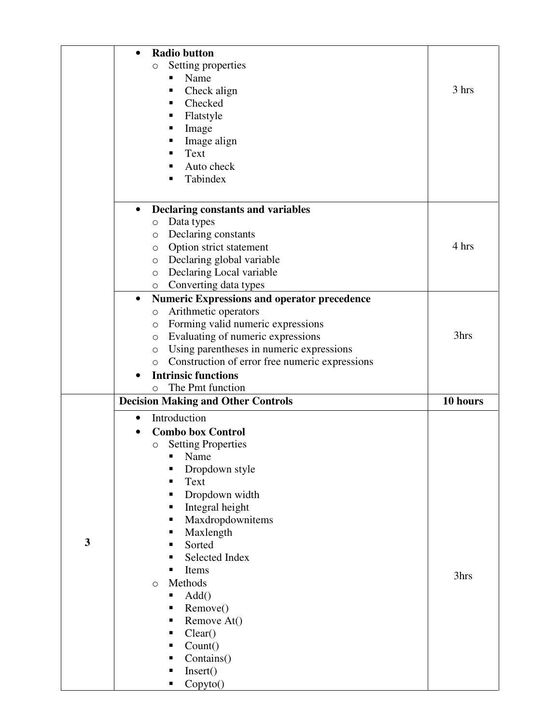|   | <b>Radio button</b><br>$\bullet$                                           |          |
|---|----------------------------------------------------------------------------|----------|
|   | Setting properties<br>$\circ$                                              |          |
|   | Name<br>п                                                                  |          |
|   | Check align<br>П                                                           | 3 hrs    |
|   | Checked<br>п                                                               |          |
|   | Flatstyle                                                                  |          |
|   |                                                                            |          |
|   | Image<br>Е                                                                 |          |
|   | Image align<br>Text                                                        |          |
|   |                                                                            |          |
|   | Auto check                                                                 |          |
|   | Tabindex                                                                   |          |
|   | <b>Declaring constants and variables</b><br>$\bullet$                      |          |
|   | Data types<br>$\circlearrowright$                                          |          |
|   | Declaring constants<br>$\circ$                                             |          |
|   | Option strict statement<br>O                                               | 4 hrs    |
|   | Declaring global variable<br>$\circ$                                       |          |
|   | Declaring Local variable<br>$\circ$                                        |          |
|   | Converting data types<br>$\circ$                                           |          |
|   | $\bullet$                                                                  |          |
|   | <b>Numeric Expressions and operator precedence</b><br>Arithmetic operators |          |
|   | $\bigcirc$                                                                 |          |
|   | Forming valid numeric expressions<br>$\circ$                               | 3hrs     |
|   | Evaluating of numeric expressions<br>$\circ$                               |          |
|   | Using parentheses in numeric expressions<br>$\circ$                        |          |
|   | Construction of error free numeric expressions<br>$\circ$                  |          |
|   | <b>Intrinsic functions</b>                                                 |          |
|   | The Pmt function<br>$\circ$                                                |          |
|   | <b>Decision Making and Other Controls</b>                                  | 10 hours |
|   | Introduction<br>$\bullet$                                                  |          |
|   | <b>Combo box Control</b>                                                   |          |
|   | <b>Setting Properties</b><br>$\circlearrowright$                           |          |
|   | Name<br>П                                                                  |          |
|   |                                                                            |          |
|   |                                                                            |          |
|   | Dropdown style                                                             |          |
|   | Text<br>Е                                                                  |          |
|   | Dropdown width<br>٠                                                        |          |
|   | Integral height                                                            |          |
|   | Maxdropdownitems<br>п                                                      |          |
|   | Maxlength<br>Е<br>п                                                        |          |
| 3 | Sorted                                                                     |          |
|   | Selected Index<br>٠                                                        |          |
|   | Items<br>٠                                                                 | 3hrs     |
|   | Methods<br>$\circ$                                                         |          |
|   | Add()<br>п                                                                 |          |
|   | Remove()<br>Е                                                              |          |
|   | Remove At()<br>п                                                           |          |
|   | Clear()<br>٠                                                               |          |
|   | Count()<br>П                                                               |          |
|   | Contains()<br>п                                                            |          |
|   | Insert()<br>п<br>Copyto()<br>٠                                             |          |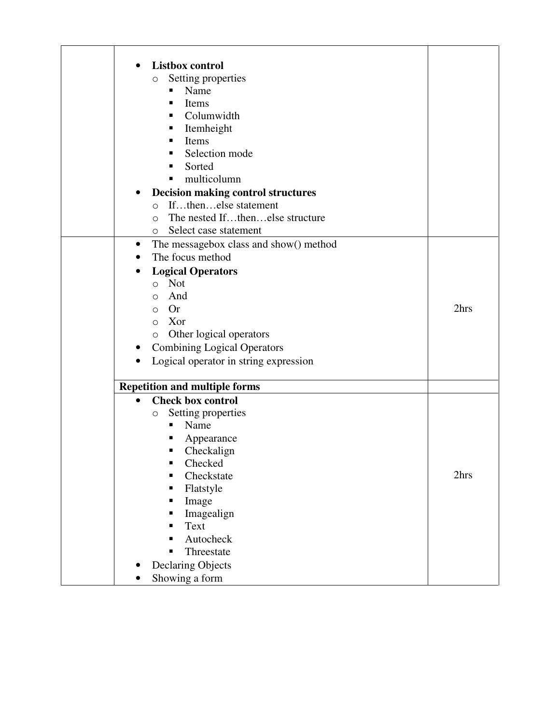| <b>Listbox control</b><br>$\bullet$<br>$\bigcirc$<br>Name<br>п<br>Items<br>п<br>п<br>п<br>Items<br>п<br>$\bullet$<br>$\circ$                                          | Setting properties<br>Columwidth<br>Itemheight<br>Selection mode<br>Sorted<br>multicolumn<br><b>Decision making control structures</b><br>Ifthenelse statement |      |
|-----------------------------------------------------------------------------------------------------------------------------------------------------------------------|----------------------------------------------------------------------------------------------------------------------------------------------------------------|------|
| $\bigcirc$<br>$\circ$                                                                                                                                                 | The nested Ifthenelse structure<br>Select case statement                                                                                                       |      |
| $\bullet$<br>The focus method<br><b>Logical Operators</b><br>Not<br>$\circ$<br>And<br>$\circ$<br>Or<br>$\circ$<br>Xor<br>$\circ$<br>$\circ$<br>$\bullet$<br>$\bullet$ | The messagebox class and show() method<br>Other logical operators<br><b>Combining Logical Operators</b><br>Logical operator in string expression               | 2hrs |
| <b>Repetition and multiple forms</b>                                                                                                                                  |                                                                                                                                                                |      |
| <b>Check box control</b><br>$\bullet$<br>$\bigcirc$<br>Name<br>Image<br>п<br>Text<br><b>Declaring Objects</b><br>Showing a form<br>$\bullet$                          | Setting properties<br>Appearance<br>Checkalign<br>Checked<br>Checkstate<br>Flatstyle<br>Imagealign<br>Autocheck<br>Threestate                                  | 2hrs |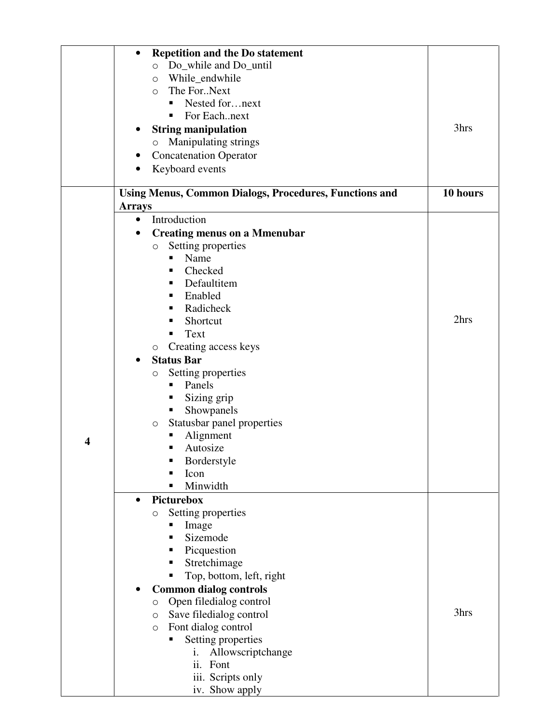|   | <b>Repetition and the Do statement</b><br>$\bullet$           |          |
|---|---------------------------------------------------------------|----------|
|   | O Do_while and Do_until                                       |          |
|   | While_endwhile<br>$\circ$                                     |          |
|   | The ForNext<br>$\circ$                                        |          |
|   | Nested fornext<br>٠                                           |          |
|   | For Eachnext<br>٠                                             |          |
|   |                                                               | 3hrs     |
|   | <b>String manipulation</b>                                    |          |
|   | Manipulating strings<br>$\circ$                               |          |
|   | <b>Concatenation Operator</b>                                 |          |
|   | Keyboard events                                               |          |
|   | <b>Using Menus, Common Dialogs, Procedures, Functions and</b> | 10 hours |
|   | <b>Arrays</b>                                                 |          |
|   | Introduction<br>$\bullet$                                     |          |
|   | <b>Creating menus on a Mmenubar</b>                           |          |
|   | Setting properties<br>$\circ$                                 |          |
|   | Name<br>٠                                                     |          |
|   | Checked<br>п                                                  |          |
|   |                                                               |          |
|   | Defaultitem<br>٠                                              |          |
|   | Enabled<br>ш                                                  |          |
|   | Radicheck<br>٠                                                | 2hrs     |
|   | Shortcut<br>٠                                                 |          |
|   | Text<br>п                                                     |          |
|   | Creating access keys<br>$\circ$                               |          |
|   | <b>Status Bar</b><br>$\bullet$                                |          |
|   | Setting properties<br>$\bigcirc$                              |          |
|   | Panels<br>٠                                                   |          |
|   | Sizing grip<br>ш                                              |          |
|   | Showpanels<br>п                                               |          |
|   | Statusbar panel properties<br>O                               |          |
| 4 | Alignment<br>п                                                |          |
|   | Autosize<br>٠                                                 |          |
|   | Borderstyle<br>п                                              |          |
|   | Icon                                                          |          |
|   | Minwidth                                                      |          |
|   | Picturebox<br>$\bullet$                                       |          |
|   | Setting properties<br>$\bigcirc$                              |          |
|   | Image<br>п                                                    |          |
|   | Sizemode<br>٠                                                 |          |
|   | Picquestion<br>п                                              |          |
|   | Stretchimage<br>٠                                             |          |
|   | Top, bottom, left, right<br>п                                 |          |
|   | <b>Common dialog controls</b>                                 |          |
|   | Open filedialog control<br>$\bigcirc$                         |          |
|   | Save filedialog control<br>O                                  | 3hrs     |
|   | Font dialog control<br>$\circlearrowright$                    |          |
|   | Setting properties<br>п                                       |          |
|   | Allowscriptchange<br>i.                                       |          |
|   | ii.<br>Font                                                   |          |
|   | iii. Scripts only                                             |          |
|   | iv. Show apply                                                |          |
|   |                                                               |          |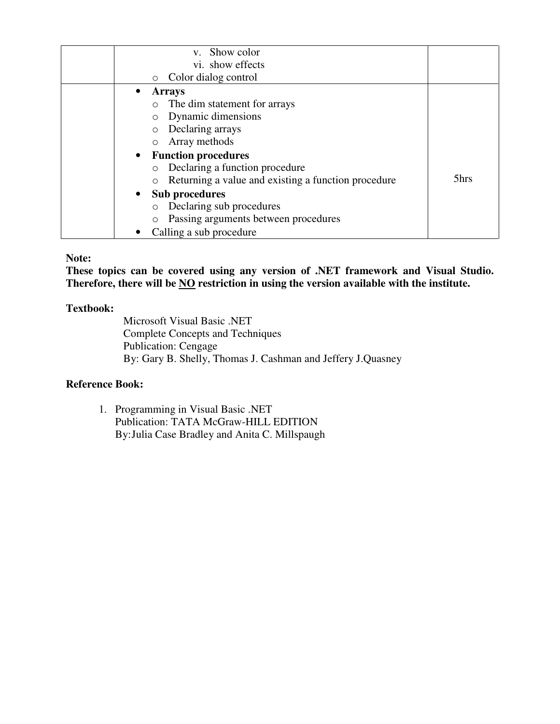| v. Show color                                       |      |
|-----------------------------------------------------|------|
| vi. show effects                                    |      |
| Color dialog control<br>$\circ$                     |      |
| <b>Arrays</b>                                       |      |
| The dim statement for arrays<br>$\circ$             |      |
| Dynamic dimensions<br>$\circ$                       |      |
| Declaring arrays<br>$\circ$                         |      |
| Array methods<br>$\circ$                            |      |
| • Function procedures                               |      |
| Declaring a function procedure<br>$\circ$           |      |
| Returning a value and existing a function procedure | 5hrs |
| • Sub procedures                                    |      |
| Declaring sub procedures<br>$\circ$                 |      |
| Passing arguments between procedures                |      |
| Calling a sub procedure                             |      |

#### **Note:**

**These topics can be covered using any version of .NET framework and Visual Studio. Therefore, there will be NO restriction in using the version available with the institute.** 

#### **Textbook:**

Microsoft Visual Basic .NET Complete Concepts and Techniques Publication: Cengage By: Gary B. Shelly, Thomas J. Cashman and Jeffery J.Quasney

# **Reference Book:**

1. Programming in Visual Basic .NET Publication: TATA McGraw-HILL EDITION By: Julia Case Bradley and Anita C. Millspaugh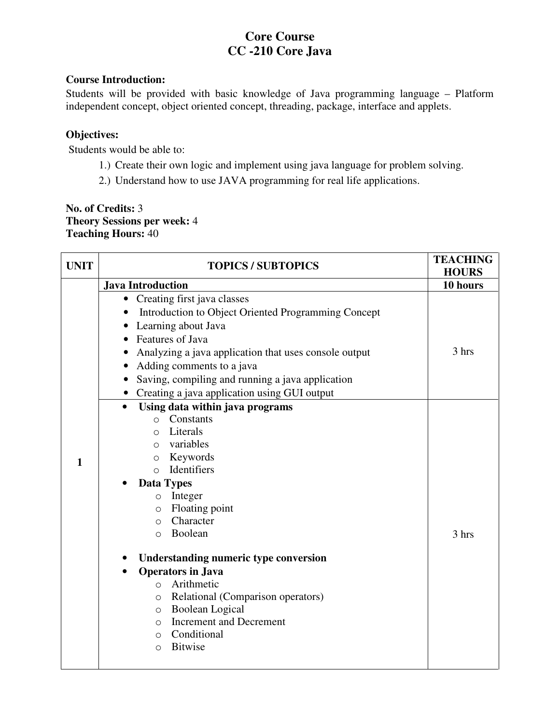# **Core Course CC -210 Core Java**

#### **Course Introduction:**

Students will be provided with basic knowledge of Java programming language – Platform independent concept, object oriented concept, threading, package, interface and applets.

# **Objectives:**

Students would be able to:

- 1.) Create their own logic and implement using java language for problem solving.
- 2.) Understand how to use JAVA programming for real life applications.

# **No. of Credits:** 3 **Theory Sessions per week:** 4 **Teaching Hours:** 40

| <b>UNIT</b>  | <b>TOPICS / SUBTOPICS</b>                                                                                                                                                                                                                                                                                                                                                                                                                                                                              | <b>TEACHING</b><br><b>HOURS</b> |
|--------------|--------------------------------------------------------------------------------------------------------------------------------------------------------------------------------------------------------------------------------------------------------------------------------------------------------------------------------------------------------------------------------------------------------------------------------------------------------------------------------------------------------|---------------------------------|
|              | <b>Java Introduction</b>                                                                                                                                                                                                                                                                                                                                                                                                                                                                               | 10 hours                        |
|              | Creating first java classes<br>$\bullet$<br>Introduction to Object Oriented Programming Concept<br>Learning about Java<br>Features of Java<br>Analyzing a java application that uses console output<br>Adding comments to a java<br>Saving, compiling and running a java application<br>Creating a java application using GUI output<br>$\bullet$<br>Using data within java programs<br>$\bullet$<br>Constants<br>$\circ$                                                                              | 3 hrs                           |
| $\mathbf{1}$ | Literals<br>$\Omega$<br>variables<br>$\circ$<br>Keywords<br>$\circ$<br>Identifiers<br>$\bigcirc$<br><b>Data Types</b><br>Integer<br>$\circ$<br>Floating point<br>$\circ$<br>Character<br>$\Omega$<br>Boolean<br>$\bigcirc$<br>Understanding numeric type conversion<br><b>Operators in Java</b><br>Arithmetic<br>$\circ$<br>Relational (Comparison operators)<br>O<br><b>Boolean Logical</b><br>O<br><b>Increment and Decrement</b><br>$\Omega$<br>Conditional<br>$\circ$<br><b>Bitwise</b><br>$\circ$ | 3 hrs                           |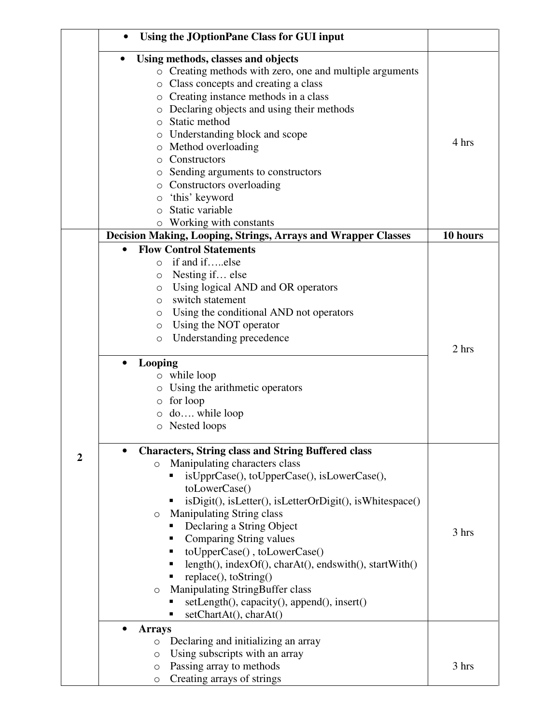|                | Using the JOptionPane Class for GUI input                                                                                                                                                                                                                                                                                                                                                                                                                                                                                                                                                                    |          |
|----------------|--------------------------------------------------------------------------------------------------------------------------------------------------------------------------------------------------------------------------------------------------------------------------------------------------------------------------------------------------------------------------------------------------------------------------------------------------------------------------------------------------------------------------------------------------------------------------------------------------------------|----------|
|                | Using methods, classes and objects<br>o Creating methods with zero, one and multiple arguments<br>Class concepts and creating a class<br>О<br>o Creating instance methods in a class<br>Declaring objects and using their methods<br>O<br>Static method<br>O<br>Understanding block and scope<br>O<br>Method overloading<br>O<br>Constructors<br>Ω<br>Sending arguments to constructors<br>O<br>o Constructors overloading<br>'this' keyword<br>O<br>Static variable                                                                                                                                         | 4 hrs    |
|                | Working with constants<br>$\circ$<br>Decision Making, Looping, Strings, Arrays and Wrapper Classes                                                                                                                                                                                                                                                                                                                                                                                                                                                                                                           | 10 hours |
|                | <b>Flow Control Statements</b><br>$\bullet$<br>if and ifelse<br>$\Omega$<br>Nesting if else<br>O<br>Using logical AND and OR operators<br>O<br>switch statement<br>$\circ$<br>Using the conditional AND not operators<br>O<br>Using the NOT operator<br>O<br>Understanding precedence<br>$\circ$<br><b>Looping</b><br>$\bullet$<br>$\circ$ while loop<br>Using the arithmetic operators<br>O<br>for loop<br>O<br>do while loop<br>O<br>o Nested loops                                                                                                                                                        | 2 hrs    |
| $\overline{2}$ | <b>Characters, String class and String Buffered class</b><br>Manipulating characters class<br>$\circ$<br>isUpprCase(), toUpperCase(), isLowerCase(),<br>toLowerCase()<br>isDigit(), isLetter(), isLetterOrDigit(), isWhitespace()<br>٠<br><b>Manipulating String class</b><br>O<br>Declaring a String Object<br>ш<br>Comparing String values<br>п<br>toUpperCase(), toLowerCase()<br>٠<br>length(), indexOf(), charAt(), endswith(), startWith()<br>replace(), toString()<br><b>Manipulating StringBuffer class</b><br>$\circ$<br>setLength(), capacity(), append(), insert()<br>п<br>setChartAt(), charAt() | 3 hrs    |
|                | $\bullet$<br><b>Arrays</b><br>Declaring and initializing an array<br>$\circ$<br>Using subscripts with an array<br>O<br>Passing array to methods<br>$\circ$<br>Creating arrays of strings<br>$\circ$                                                                                                                                                                                                                                                                                                                                                                                                          | 3 hrs    |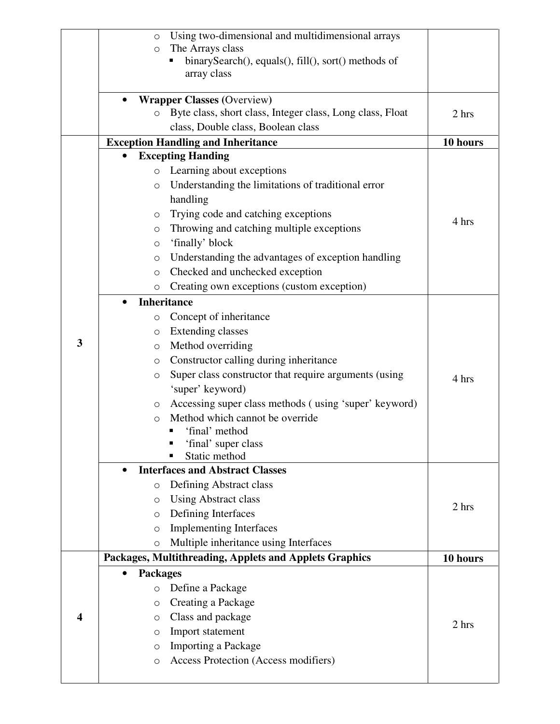|                  | Using two-dimensional and multidimensional arrays<br>$\circ$         |          |
|------------------|----------------------------------------------------------------------|----------|
|                  | The Arrays class<br>$\circ$                                          |          |
|                  | binarySearch(), equals(), fill(), sort() methods of                  |          |
|                  | array class                                                          |          |
|                  | <b>Wrapper Classes (Overview)</b>                                    |          |
|                  | Byte class, short class, Integer class, Long class, Float<br>$\circ$ | 2 hrs    |
|                  | class, Double class, Boolean class                                   |          |
|                  | <b>Exception Handling and Inheritance</b>                            | 10 hours |
|                  | <b>Excepting Handing</b>                                             |          |
|                  | Learning about exceptions<br>$\circ$                                 |          |
|                  | Understanding the limitations of traditional error<br>$\circ$        |          |
|                  | handling                                                             |          |
|                  | Trying code and catching exceptions<br>O                             |          |
|                  | Throwing and catching multiple exceptions<br>$\circ$                 | 4 hrs    |
|                  | 'finally' block<br>$\circlearrowright$                               |          |
|                  | Understanding the advantages of exception handling<br>$\circ$        |          |
|                  | Checked and unchecked exception<br>$\circlearrowright$               |          |
|                  | Creating own exceptions (custom exception)<br>$\circ$                |          |
|                  | <b>Inheritance</b><br>$\bullet$                                      |          |
|                  | Concept of inheritance<br>O                                          |          |
|                  | <b>Extending classes</b><br>$\circ$                                  |          |
| $\mathbf{3}$     | Method overriding<br>$\circ$                                         |          |
|                  | Constructor calling during inheritance<br>O                          |          |
|                  | Super class constructor that require arguments (using<br>O           | 4 hrs    |
|                  | 'super' keyword)                                                     |          |
|                  | Accessing super class methods (using 'super' keyword)<br>O           |          |
|                  | Method which cannot be override<br>$\circ$                           |          |
|                  | 'final' method                                                       |          |
|                  | 'final' super class                                                  |          |
|                  | Static method                                                        |          |
|                  | <b>Interfaces and Abstract Classes</b>                               |          |
|                  | Defining Abstract class<br>$\circlearrowright$                       |          |
|                  | <b>Using Abstract class</b><br>$\circ$                               | 2 hrs    |
|                  | Defining Interfaces<br>$\circ$                                       |          |
|                  | <b>Implementing Interfaces</b><br>$\circ$                            |          |
|                  | Multiple inheritance using Interfaces<br>$\circ$                     |          |
|                  | Packages, Multithreading, Applets and Applets Graphics               | 10 hours |
|                  | <b>Packages</b><br>$\bullet$                                         |          |
|                  | Define a Package<br>$\circ$                                          |          |
|                  | Creating a Package<br>$\circ$                                        |          |
| $\boldsymbol{4}$ | Class and package<br>$\circ$                                         | 2 hrs    |
|                  | Import statement<br>O                                                |          |
|                  | <b>Importing a Package</b><br>O                                      |          |
|                  | Access Protection (Access modifiers)<br>O                            |          |
|                  |                                                                      |          |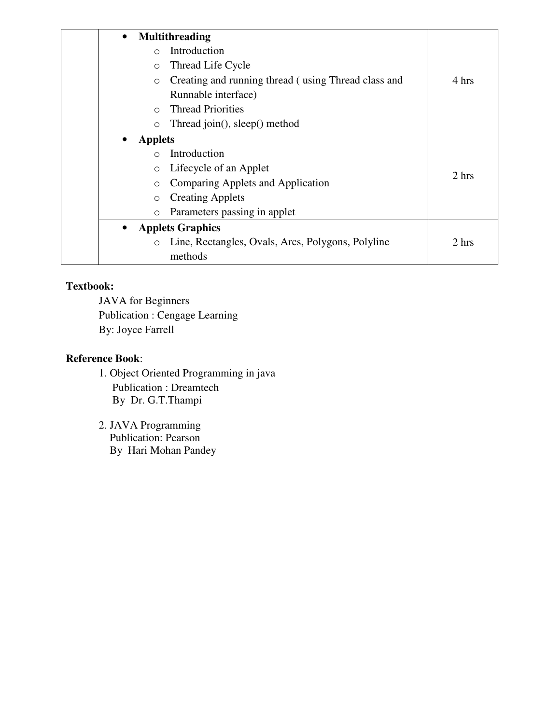| $\bullet$                   | <b>Multithreading</b>                               |       |
|-----------------------------|-----------------------------------------------------|-------|
| ∩                           | Introduction                                        |       |
| $\circ$                     | Thread Life Cycle                                   |       |
| $\circ$                     | Creating and running thread (using Thread class and | 4 hrs |
|                             | Runnable interface)                                 |       |
| $\bigcap$                   | <b>Thread Priorities</b>                            |       |
| $\circ$                     | Thread join(), sleep() method                       |       |
| <b>Applets</b><br>$\bullet$ |                                                     |       |
| ∩                           | Introduction                                        |       |
| $\circ$                     | Lifecycle of an Applet                              | 2 hrs |
| $\circ$                     | Comparing Applets and Application                   |       |
| $\circ$                     | <b>Creating Applets</b>                             |       |
| $\circ$                     | Parameters passing in applet                        |       |
| $\bullet$                   | <b>Applets Graphics</b>                             |       |
| $\circ$                     | Line, Rectangles, Ovals, Arcs, Polygons, Polyline   | 2 hrs |
|                             | methods                                             |       |

JAVA for Beginners Publication : Cengage Learning By: Joyce Farrell

# **Reference Book**:

- 1. Object Oriented Programming in java Publication : Dreamtech By Dr. G.T.Thampi
- 2. JAVA Programming Publication: Pearson By Hari Mohan Pandey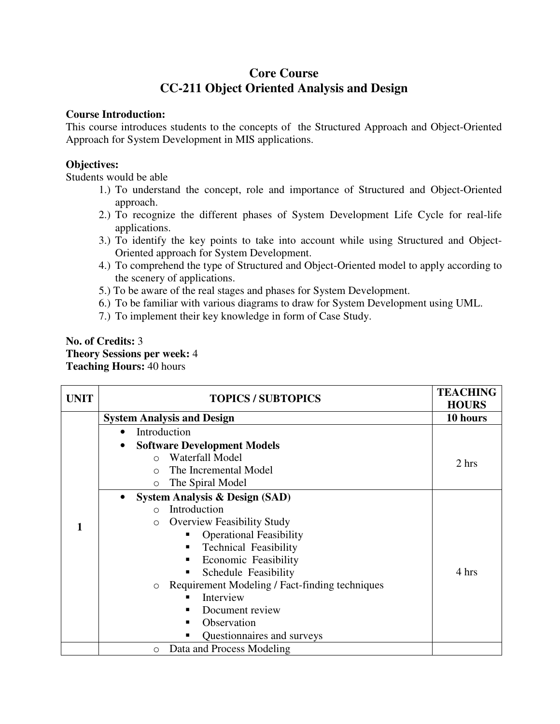# **Core Course CC-211 Object Oriented Analysis and Design**

#### **Course Introduction:**

This course introduces students to the concepts of the Structured Approach and Object-Oriented Approach for System Development in MIS applications.

#### **Objectives:**

Students would be able

- 1.) To understand the concept, role and importance of Structured and Object-Oriented approach.
- 2.) To recognize the different phases of System Development Life Cycle for real-life applications.
- 3.) To identify the key points to take into account while using Structured and Object-Oriented approach for System Development.
- 4.) To comprehend the type of Structured and Object-Oriented model to apply according to the scenery of applications.
- 5.) To be aware of the real stages and phases for System Development.
- 6.) To be familiar with various diagrams to draw for System Development using UML.
- 7.) To implement their key knowledge in form of Case Study.

#### **No. of Credits:** 3 **Theory Sessions per week:** 4 **Teaching Hours:** 40 hours

| <b>UNIT</b> | <b>TOPICS / SUBTOPICS</b>                                 | <b>TEACHING</b><br><b>HOURS</b> |
|-------------|-----------------------------------------------------------|---------------------------------|
|             | <b>System Analysis and Design</b>                         | 10 hours                        |
|             | Introduction<br>$\bullet$                                 |                                 |
|             |                                                           |                                 |
|             | <b>Software Development Models</b><br>$\bullet$           |                                 |
|             | Waterfall Model<br>$\bigcap$                              | 2 hrs                           |
|             | The Incremental Model<br>$\bigcap$                        |                                 |
|             | The Spiral Model<br>$\circ$                               |                                 |
|             | <b>System Analysis &amp; Design (SAD)</b><br>$\bullet$    |                                 |
|             | Introduction<br>$\bigcap$                                 |                                 |
|             | <b>Overview Feasibility Study</b><br>$\Omega$             |                                 |
|             | <b>Operational Feasibility</b><br>п                       |                                 |
|             | <b>Technical Feasibility</b><br>٠                         |                                 |
|             | Economic Feasibility<br>٠                                 |                                 |
|             | Schedule Feasibility<br>٠                                 | 4 hrs                           |
|             | Requirement Modeling / Fact-finding techniques<br>$\circ$ |                                 |
|             | Interview                                                 |                                 |
|             | Document review                                           |                                 |
|             | Observation                                               |                                 |
|             | Questionnaires and surveys<br>٠                           |                                 |
|             | Data and Process Modeling<br>$\circ$                      |                                 |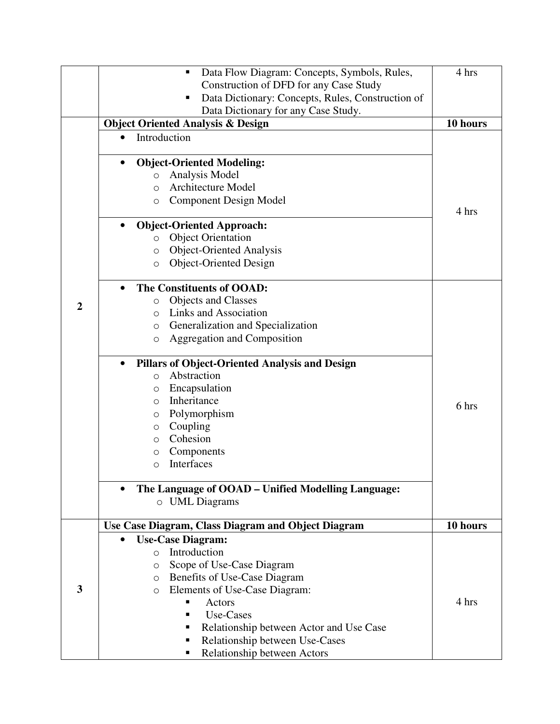|                         | Data Flow Diagram: Concepts, Symbols, Rules,<br>٠                  | 4 hrs    |
|-------------------------|--------------------------------------------------------------------|----------|
|                         | Construction of DFD for any Case Study                             |          |
|                         | Data Dictionary: Concepts, Rules, Construction of<br>п             |          |
|                         | Data Dictionary for any Case Study.                                |          |
|                         | <b>Object Oriented Analysis &amp; Design</b>                       | 10 hours |
|                         | Introduction<br>$\bullet$                                          |          |
|                         |                                                                    |          |
|                         | <b>Object-Oriented Modeling:</b><br>$\bullet$                      |          |
|                         | Analysis Model<br>$\circ$                                          |          |
|                         | <b>Architecture Model</b><br>$\circ$                               |          |
|                         | <b>Component Design Model</b><br>$\circ$                           |          |
|                         |                                                                    | 4 hrs    |
|                         | <b>Object-Oriented Approach:</b><br>$\bullet$                      |          |
|                         | <b>Object Orientation</b><br>$\circ$                               |          |
|                         | <b>Object-Oriented Analysis</b><br>$\circ$                         |          |
|                         | <b>Object-Oriented Design</b><br>$\circ$                           |          |
|                         | The Constituents of OOAD:<br>$\bullet$                             |          |
|                         | <b>Objects and Classes</b><br>$\circ$                              |          |
| $\overline{2}$          | Links and Association                                              |          |
|                         | $\Omega$                                                           |          |
|                         | Generalization and Specialization<br>$\circ$                       |          |
|                         | Aggregation and Composition<br>$\circ$                             |          |
|                         | <b>Pillars of Object-Oriented Analysis and Design</b><br>$\bullet$ |          |
|                         | Abstraction<br>$\Omega$                                            |          |
|                         | Encapsulation<br>$\circ$                                           |          |
|                         | Inheritance<br>$\circ$                                             |          |
|                         | Polymorphism<br>O                                                  | 6 hrs    |
|                         | Coupling<br>$\circ$                                                |          |
|                         | Cohesion<br>$\circ$                                                |          |
|                         | Components<br>$\circ$                                              |          |
|                         | Interfaces<br>$\Omega$                                             |          |
|                         |                                                                    |          |
|                         | The Language of OOAD – Unified Modelling Language:<br>$\bullet$    |          |
|                         | $\circ$ UML Diagrams                                               |          |
|                         | Use Case Diagram, Class Diagram and Object Diagram                 | 10 hours |
|                         | <b>Use-Case Diagram:</b><br>٠                                      |          |
|                         | Introduction<br>$\Omega$                                           |          |
|                         | Scope of Use-Case Diagram<br>$\circ$                               |          |
|                         | Benefits of Use-Case Diagram<br>$\circ$                            |          |
| $\overline{\mathbf{3}}$ | Elements of Use-Case Diagram:<br>$\circ$                           |          |
|                         | Actors                                                             | 4 hrs    |
|                         | Use-Cases<br>п                                                     |          |
|                         | Relationship between Actor and Use Case<br>٠                       |          |
|                         | Relationship between Use-Cases<br>п                                |          |
|                         | Relationship between Actors<br>п                                   |          |
|                         |                                                                    |          |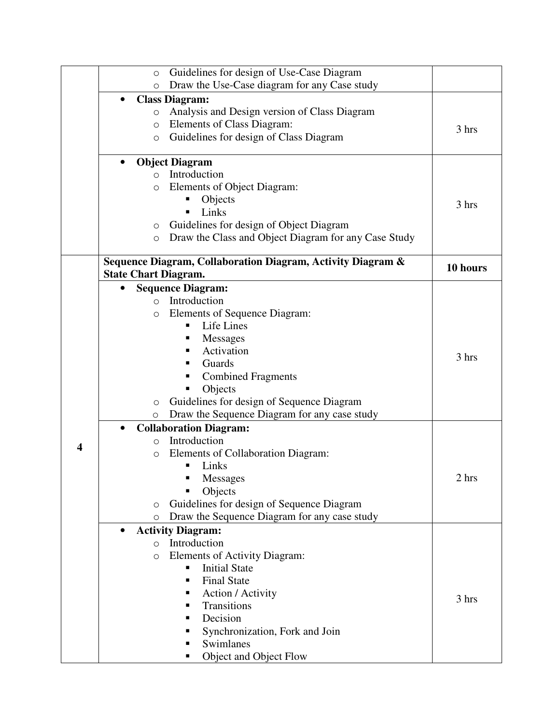|   | Guidelines for design of Use-Case Diagram<br>$\circ$            |          |
|---|-----------------------------------------------------------------|----------|
|   | Draw the Use-Case diagram for any Case study<br>$\circ$         |          |
|   | <b>Class Diagram:</b><br>$\bullet$                              |          |
|   | Analysis and Design version of Class Diagram<br>O               |          |
|   | Elements of Class Diagram:<br>O                                 |          |
|   | Guidelines for design of Class Diagram<br>$\circ$               | 3 hrs    |
|   |                                                                 |          |
|   | <b>Object Diagram</b><br>$\bullet$                              |          |
|   | Introduction<br>$\bigcirc$                                      |          |
|   | Elements of Object Diagram:<br>$\circ$                          |          |
|   | Objects                                                         |          |
|   | Links<br>п                                                      | 3 hrs    |
|   | Guidelines for design of Object Diagram<br>$\circ$              |          |
|   | Draw the Class and Object Diagram for any Case Study<br>$\circ$ |          |
|   |                                                                 |          |
|   | Sequence Diagram, Collaboration Diagram, Activity Diagram &     |          |
|   | <b>State Chart Diagram.</b>                                     | 10 hours |
|   | <b>Sequence Diagram:</b><br>$\bullet$                           |          |
|   | Introduction<br>$\Omega$                                        |          |
|   | Elements of Sequence Diagram:<br>O                              |          |
|   | Life Lines<br>п                                                 |          |
|   | <b>Messages</b><br>п                                            |          |
|   | Activation<br>٠                                                 |          |
|   | Guards<br>п                                                     | 3 hrs    |
|   | <b>Combined Fragments</b><br>٠                                  |          |
|   | Objects                                                         |          |
|   | Guidelines for design of Sequence Diagram                       |          |
|   | $\circ$<br>Draw the Sequence Diagram for any case study         |          |
|   | $\circ$                                                         |          |
|   | <b>Collaboration Diagram:</b><br>$\bullet$                      |          |
| 4 | Introduction<br>$\circ$                                         |          |
|   | Elements of Collaboration Diagram:<br>O                         |          |
|   | Links                                                           |          |
|   | Messages                                                        | 2 hrs    |
|   | Objects                                                         |          |
|   | Guidelines for design of Sequence Diagram<br>$\circ$            |          |
|   | Draw the Sequence Diagram for any case study<br>$\circ$         |          |
|   | <b>Activity Diagram:</b><br>$\bullet$                           |          |
|   | Introduction<br>$\bigcirc$                                      |          |
|   | Elements of Activity Diagram:<br>$\circ$                        |          |
|   | <b>Initial State</b><br>п                                       |          |
|   | <b>Final State</b><br>٠                                         |          |
|   | Action / Activity<br>٠                                          | 3 hrs    |
|   | Transitions<br>٠                                                |          |
|   | Decision<br>п                                                   |          |
|   | Synchronization, Fork and Join<br>п                             |          |
|   | Swimlanes                                                       |          |
|   | Object and Object Flow<br>п                                     |          |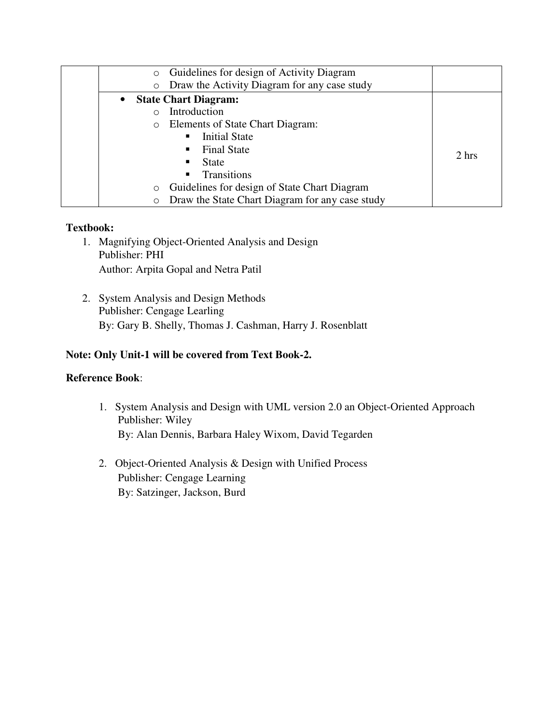| Guidelines for design of Activity Diagram<br>$\circ$       |       |
|------------------------------------------------------------|-------|
| Draw the Activity Diagram for any case study<br>$\circ$    |       |
| <b>State Chart Diagram:</b><br>$\bullet$                   |       |
| Introduction                                               |       |
| Elements of State Chart Diagram:<br>$\circ$                |       |
| <b>Initial State</b><br>٠                                  |       |
| <b>Final State</b><br>٠                                    | 2 hrs |
| <b>State</b>                                               |       |
| Transitions<br>٠                                           |       |
| Guidelines for design of State Chart Diagram<br>$\circ$    |       |
| Draw the State Chart Diagram for any case study<br>$\circ$ |       |

- 1. Magnifying Object-Oriented Analysis and Design Publisher: PHI Author: Arpita Gopal and Netra Patil
- 2. System Analysis and Design Methods Publisher: Cengage Learling By: Gary B. Shelly, Thomas J. Cashman, Harry J. Rosenblatt

# **Note: Only Unit-1 will be covered from Text Book-2.**

# **Reference Book**:

- 1. System Analysis and Design with UML version 2.0 an Object-Oriented Approach Publisher: Wiley By: Alan Dennis, Barbara Haley Wixom, David Tegarden
- 2. Object-Oriented Analysis & Design with Unified Process Publisher: Cengage Learning By: Satzinger, Jackson, Burd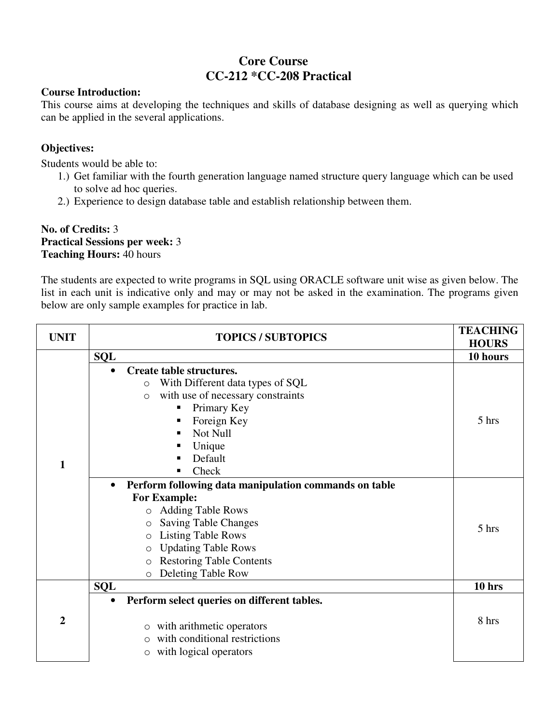# **Core Course CC-212 \*CC-208 Practical**

#### **Course Introduction:**

This course aims at developing the techniques and skills of database designing as well as querying which can be applied in the several applications.

# **Objectives:**

Students would be able to:

- 1.) Get familiar with the fourth generation language named structure query language which can be used to solve ad hoc queries.
- 2.) Experience to design database table and establish relationship between them.

#### **No. of Credits:** 3 **Practical Sessions per week:** 3 **Teaching Hours:** 40 hours

The students are expected to write programs in SQL using ORACLE software unit wise as given below. The list in each unit is indicative only and may or may not be asked in the examination. The programs given below are only sample examples for practice in lab.

| <b>UNIT</b>    | <b>TOPICS / SUBTOPICS</b>                                                                                                                                                                                                                                                                                                       | <b>TEACHING</b><br><b>HOURS</b> |
|----------------|---------------------------------------------------------------------------------------------------------------------------------------------------------------------------------------------------------------------------------------------------------------------------------------------------------------------------------|---------------------------------|
|                | <b>SQL</b>                                                                                                                                                                                                                                                                                                                      | 10 hours                        |
| 1              | Create table structures.<br>$\bullet$<br>With Different data types of SQL<br>$\circ$<br>with use of necessary constraints<br>$\circ$<br>Primary Key<br>Foreign Key<br>Not Null<br>٠<br>Unique<br>Default<br>Check                                                                                                               | 5 hrs                           |
|                | Perform following data manipulation commands on table<br>$\bullet$<br><b>For Example:</b><br><b>Adding Table Rows</b><br>$\circ$<br><b>Saving Table Changes</b><br>$\circ$<br><b>Listing Table Rows</b><br><b>Updating Table Rows</b><br>$\circ$<br><b>Restoring Table Contents</b><br>$\circ$<br>Deleting Table Row<br>$\circ$ | 5 hrs                           |
|                | <b>SQL</b>                                                                                                                                                                                                                                                                                                                      | $10$ hrs                        |
| $\overline{2}$ | Perform select queries on different tables.<br>$\bullet$<br>with arithmetic operators<br>$\circ$<br>with conditional restrictions<br>$\bigcirc$<br>with logical operators<br>$\circ$                                                                                                                                            | 8 hrs                           |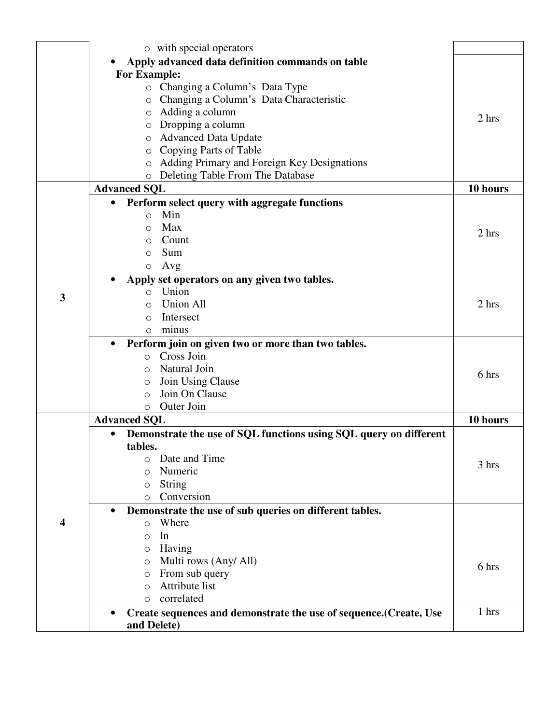|   | o with special operators                                                        |          |
|---|---------------------------------------------------------------------------------|----------|
|   | Apply advanced data definition commands on table                                |          |
|   | <b>For Example:</b>                                                             |          |
|   | o Changing a Column's Data Type                                                 |          |
|   | Changing a Column's Data Characteristic<br>$\circ$                              |          |
|   | $\circ$ Adding a column                                                         |          |
|   | Dropping a column                                                               | 2 hrs    |
|   | O<br><b>Advanced Data Update</b>                                                |          |
|   | O<br>Copying Parts of Table<br>O                                                |          |
|   | Adding Primary and Foreign Key Designations<br>$\circ$                          |          |
|   | Deleting Table From The Database                                                |          |
|   | $\circ$<br><b>Advanced SQL</b>                                                  | 10 hours |
|   | $\bullet$                                                                       |          |
|   | Perform select query with aggregate functions<br>Min                            |          |
|   | $\circ$<br>Max                                                                  |          |
|   | $\Omega$                                                                        | 2 hrs    |
|   | Count<br>O                                                                      |          |
|   | Sum<br>O                                                                        |          |
|   | Avg<br>$\circ$                                                                  |          |
|   | Apply set operators on any given two tables.                                    |          |
| 3 | Union<br>$\Omega$                                                               |          |
|   | <b>Union All</b><br>$\circ$                                                     | 2 hrs    |
|   | Intersect<br>O                                                                  |          |
|   | minus<br>O                                                                      |          |
|   | Perform join on given two or more than two tables.                              |          |
|   | Cross Join<br>$\circ$                                                           |          |
|   | Natural Join<br>O                                                               | 6 hrs    |
|   | Join Using Clause<br>$\circ$                                                    |          |
|   | Join On Clause<br>$\Omega$                                                      |          |
|   | Outer Join<br>$\circ$                                                           |          |
|   | <b>Advanced SQL</b>                                                             | 10 hours |
|   | Demonstrate the use of SQL functions using SQL query on different               |          |
|   | tables.                                                                         |          |
|   | Date and Time<br>O                                                              | 3 hrs    |
|   | Numeric<br>O                                                                    |          |
|   | <b>String</b><br>O                                                              |          |
|   | Conversion<br>$\circ$                                                           |          |
|   | Demonstrate the use of sub queries on different tables.                         |          |
| 4 | Where<br>$\circ$                                                                |          |
|   | In<br>$\circ$                                                                   |          |
|   | Having<br>O                                                                     |          |
|   | Multi rows (Any/ All)<br>O                                                      | 6 hrs    |
|   | From sub query<br>O                                                             |          |
|   | Attribute list<br>$\Omega$                                                      |          |
|   | correlated<br>$\circ$                                                           |          |
|   | Create sequences and demonstrate the use of sequence. (Create, Use<br>$\bullet$ | 1 hrs    |
|   | and Delete)                                                                     |          |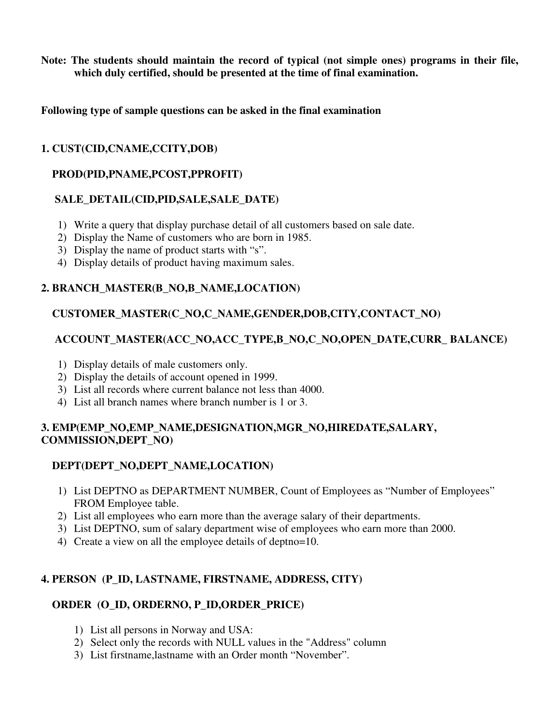**Note: The students should maintain the record of typical (not simple ones) programs in their file, which duly certified, should be presented at the time of final examination.** 

**Following type of sample questions can be asked in the final examination** 

# **1. CUST(CID,CNAME,CCITY,DOB)**

# **PROD(PID,PNAME,PCOST,PPROFIT)**

# **SALE\_DETAIL(CID,PID,SALE,SALE\_DATE)**

- 1) Write a query that display purchase detail of all customers based on sale date.
- 2) Display the Name of customers who are born in 1985.
- 3) Display the name of product starts with "s".
- 4) Display details of product having maximum sales.

# **2. BRANCH\_MASTER(B\_NO,B\_NAME,LOCATION)**

# **CUSTOMER\_MASTER(C\_NO,C\_NAME,GENDER,DOB,CITY,CONTACT\_NO)**

# **ACCOUNT\_MASTER(ACC\_NO,ACC\_TYPE,B\_NO,C\_NO,OPEN\_DATE,CURR\_ BALANCE)**

- 1) Display details of male customers only.
- 2) Display the details of account opened in 1999.
- 3) List all records where current balance not less than 4000.
- 4) List all branch names where branch number is 1 or 3.

# **3. EMP(EMP\_NO,EMP\_NAME,DESIGNATION,MGR\_NO,HIREDATE,SALARY, COMMISSION,DEPT\_NO)**

# **DEPT(DEPT\_NO,DEPT\_NAME,LOCATION)**

- 1) List DEPTNO as DEPARTMENT NUMBER, Count of Employees as "Number of Employees" FROM Employee table.
- 2) List all employees who earn more than the average salary of their departments.
- 3) List DEPTNO, sum of salary department wise of employees who earn more than 2000.
- 4) Create a view on all the employee details of deptno=10.

# **4. PERSON (P\_ID, LASTNAME, FIRSTNAME, ADDRESS, CITY)**

# **ORDER****(O\_ID, ORDERNO, P\_ID,ORDER\_PRICE)**

- 1) List all persons in Norway and USA:
- 2) Select only the records with NULL values in the "Address" column
- 3) List firstname,lastname with an Order month "November".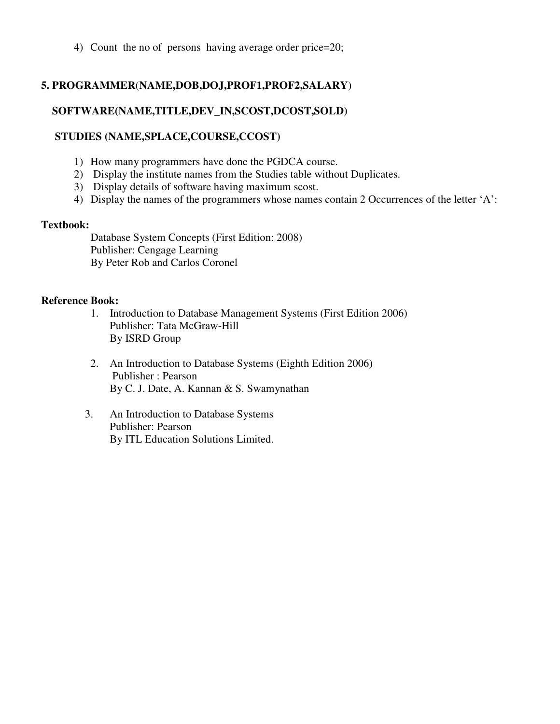4) Count the no of persons having average order price=20;

# **5. PROGRAMMER**(**NAME,DOB,DOJ,PROF1,PROF2,SALARY**)

# **SOFTWARE(NAME,TITLE,DEV\_IN,SCOST,DCOST,SOLD)**

#### **STUDIES (NAME,SPLACE,COURSE,CCOST)**

- 1) How many programmers have done the PGDCA course.
- 2) Display the institute names from the Studies table without Duplicates.
- 3) Display details of software having maximum scost.
- 4) Display the names of the programmers whose names contain 2 Occurrences of the letter 'A':

#### **Textbook:**

Database System Concepts (First Edition: 2008) Publisher: Cengage Learning By Peter Rob and Carlos Coronel

#### **Reference Book:**

- 1. Introduction to Database Management Systems (First Edition 2006) Publisher: Tata McGraw-Hill By ISRD Group
- 2. An Introduction to Database Systems (Eighth Edition 2006) Publisher : Pearson By C. J. Date, A. Kannan & S. Swamynathan
- 3. An Introduction to Database Systems Publisher: Pearson By ITL Education Solutions Limited.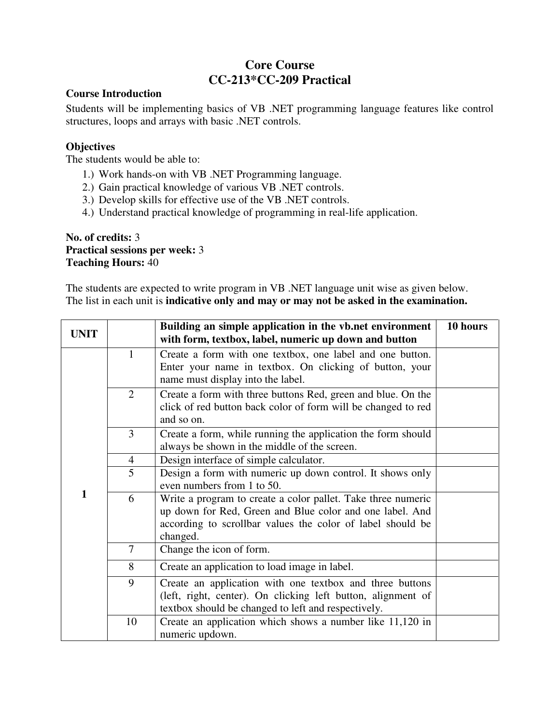# **Core Course CC-213\*CC-209 Practical**

#### **Course Introduction**

Students will be implementing basics of VB .NET programming language features like control structures, loops and arrays with basic .NET controls.

# **Objectives**

The students would be able to:

- 1.) Work hands-on with VB .NET Programming language.
- 2.) Gain practical knowledge of various VB .NET controls.
- 3.) Develop skills for effective use of the VB .NET controls.
- 4.) Understand practical knowledge of programming in real-life application.

#### **No. of credits:** 3 **Practical sessions per week:** 3 **Teaching Hours:** 40

The students are expected to write program in VB .NET language unit wise as given below. The list in each unit is **indicative only and may or may not be asked in the examination.** 

| <b>UNIT</b> |                | Building an simple application in the vb.net environment<br>with form, textbox, label, numeric up down and button                                                                                  | 10 hours |
|-------------|----------------|----------------------------------------------------------------------------------------------------------------------------------------------------------------------------------------------------|----------|
|             | $\mathbf{1}$   | Create a form with one textbox, one label and one button.<br>Enter your name in textbox. On clicking of button, your<br>name must display into the label.                                          |          |
|             | $\overline{2}$ | Create a form with three buttons Red, green and blue. On the<br>click of red button back color of form will be changed to red<br>and so on.                                                        |          |
|             | $\overline{3}$ | Create a form, while running the application the form should<br>always be shown in the middle of the screen.                                                                                       |          |
|             | $\overline{4}$ | Design interface of simple calculator.                                                                                                                                                             |          |
|             | 5              | Design a form with numeric up down control. It shows only<br>even numbers from 1 to 50.                                                                                                            |          |
| 1           | 6              | Write a program to create a color pallet. Take three numeric<br>up down for Red, Green and Blue color and one label. And<br>according to scrollbar values the color of label should be<br>changed. |          |
|             | $\overline{7}$ | Change the icon of form.                                                                                                                                                                           |          |
|             | 8              | Create an application to load image in label.                                                                                                                                                      |          |
|             | 9              | Create an application with one textbox and three buttons<br>(left, right, center). On clicking left button, alignment of<br>textbox should be changed to left and respectively.                    |          |
|             | 10             | Create an application which shows a number like 11,120 in<br>numeric updown.                                                                                                                       |          |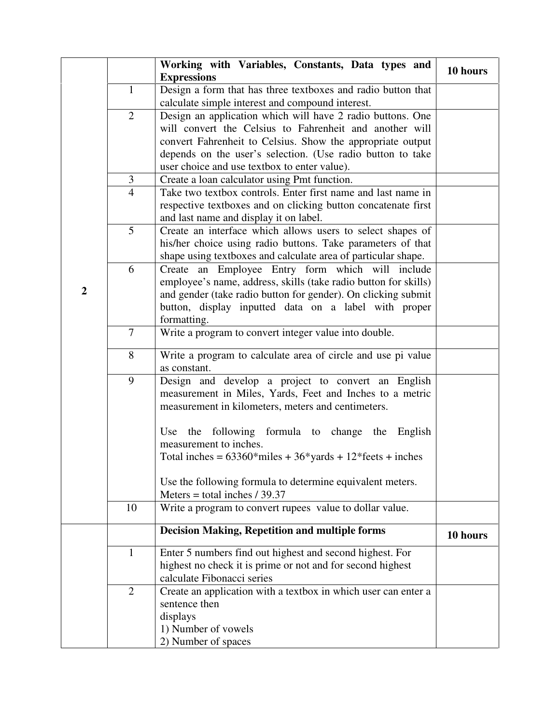|                |                | Working with Variables, Constants, Data types and<br><b>Expressions</b> | 10 hours |
|----------------|----------------|-------------------------------------------------------------------------|----------|
|                | $\mathbf{1}$   | Design a form that has three textboxes and radio button that            |          |
|                |                | calculate simple interest and compound interest.                        |          |
|                | $\overline{2}$ | Design an application which will have 2 radio buttons. One              |          |
|                |                | will convert the Celsius to Fahrenheit and another will                 |          |
|                |                | convert Fahrenheit to Celsius. Show the appropriate output              |          |
|                |                | depends on the user's selection. (Use radio button to take              |          |
|                |                | user choice and use textbox to enter value).                            |          |
|                | $\mathfrak{Z}$ | Create a loan calculator using Pmt function.                            |          |
|                | $\overline{4}$ | Take two textbox controls. Enter first name and last name in            |          |
|                |                | respective textboxes and on clicking button concatenate first           |          |
|                |                | and last name and display it on label.                                  |          |
|                | 5              | Create an interface which allows users to select shapes of              |          |
|                |                | his/her choice using radio buttons. Take parameters of that             |          |
|                |                | shape using textboxes and calculate area of particular shape.           |          |
|                | 6              | Create an Employee Entry form which will include                        |          |
|                |                | employee's name, address, skills (take radio button for skills)         |          |
| $\overline{2}$ |                | and gender (take radio button for gender). On clicking submit           |          |
|                |                | button, display inputted data on a label with proper                    |          |
|                |                | formatting.                                                             |          |
|                | $\tau$         | Write a program to convert integer value into double.                   |          |
|                | 8              | Write a program to calculate area of circle and use pi value            |          |
|                |                | as constant.                                                            |          |
|                | 9              | Design and develop a project to convert an English                      |          |
|                |                | measurement in Miles, Yards, Feet and Inches to a metric                |          |
|                |                | measurement in kilometers, meters and centimeters.                      |          |
|                |                | the following formula to change the English<br>Use                      |          |
|                |                | measurement to inches.                                                  |          |
|                |                | Total inches = $63360*$ miles + $36*$ yards + $12*$ feets + inches      |          |
|                |                |                                                                         |          |
|                |                | Use the following formula to determine equivalent meters.               |          |
|                |                | Meters = total inches $/$ 39.37                                         |          |
|                | 10             | Write a program to convert rupees value to dollar value.                |          |
|                |                | <b>Decision Making, Repetition and multiple forms</b>                   | 10 hours |
|                | $\mathbf{1}$   | Enter 5 numbers find out highest and second highest. For                |          |
|                |                | highest no check it is prime or not and for second highest              |          |
|                |                | calculate Fibonacci series                                              |          |
|                | $\overline{2}$ | Create an application with a textbox in which user can enter a          |          |
|                |                | sentence then                                                           |          |
|                |                | displays                                                                |          |
|                |                | 1) Number of vowels                                                     |          |
|                |                | 2) Number of spaces                                                     |          |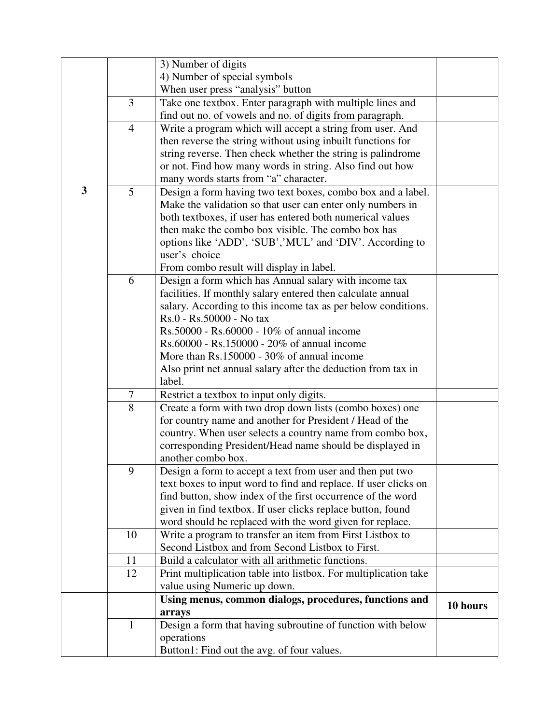|   |                | 3) Number of digits                                                   |          |
|---|----------------|-----------------------------------------------------------------------|----------|
|   |                | 4) Number of special symbols                                          |          |
|   |                | When user press "analysis" button                                     |          |
|   | 3              | Take one textbox. Enter paragraph with multiple lines and             |          |
|   |                | find out no. of vowels and no. of digits from paragraph.              |          |
|   | $\overline{4}$ | Write a program which will accept a string from user. And             |          |
|   |                | then reverse the string without using inbuilt functions for           |          |
|   |                | string reverse. Then check whether the string is palindrome           |          |
|   |                | or not. Find how many words in string. Also find out how              |          |
|   |                | many words starts from "a" character.                                 |          |
| 3 | 5              | Design a form having two text boxes, combo box and a label.           |          |
|   |                | Make the validation so that user can enter only numbers in            |          |
|   |                | both textboxes, if user has entered both numerical values             |          |
|   |                | then make the combo box visible. The combo box has                    |          |
|   |                | options like 'ADD', 'SUB','MUL' and 'DIV'. According to               |          |
|   |                | user's choice                                                         |          |
|   |                | From combo result will display in label.                              |          |
|   | 6              | Design a form which has Annual salary with income tax                 |          |
|   |                | facilities. If monthly salary entered then calculate annual           |          |
|   |                | salary. According to this income tax as per below conditions.         |          |
|   |                | Rs.0 - Rs.50000 - No tax                                              |          |
|   |                | Rs.50000 - Rs.60000 - 10% of annual income                            |          |
|   |                | Rs.60000 - Rs.150000 - 20% of annual income                           |          |
|   |                | More than Rs.150000 - 30% of annual income                            |          |
|   |                | Also print net annual salary after the deduction from tax in          |          |
|   |                | label.                                                                |          |
|   | $\tau$         | Restrict a textbox to input only digits.                              |          |
|   | 8              | Create a form with two drop down lists (combo boxes) one              |          |
|   |                | for country name and another for President / Head of the              |          |
|   |                | country. When user selects a country name from combo box,             |          |
|   |                | corresponding President/Head name should be displayed in              |          |
|   |                | another combo box.                                                    |          |
|   | 9              | Design a form to accept a text from user and then put two             |          |
|   |                | text boxes to input word to find and replace. If user clicks on       |          |
|   |                | find button, show index of the first occurrence of the word           |          |
|   |                | given in find textbox. If user clicks replace button, found           |          |
|   |                | word should be replaced with the word given for replace.              |          |
|   | 10             | Write a program to transfer an item from First Listbox to             |          |
|   |                | Second Listbox and from Second Listbox to First.                      |          |
|   | 11             | Build a calculator with all arithmetic functions.                     |          |
|   | 12             | Print multiplication table into listbox. For multiplication take      |          |
|   |                | value using Numeric up down.                                          |          |
|   |                | Using menus, common dialogs, procedures, functions and                | 10 hours |
|   | $\mathbf{1}$   | arrays<br>Design a form that having subroutine of function with below |          |
|   |                | operations                                                            |          |
|   |                | Button1: Find out the avg. of four values.                            |          |
|   |                |                                                                       |          |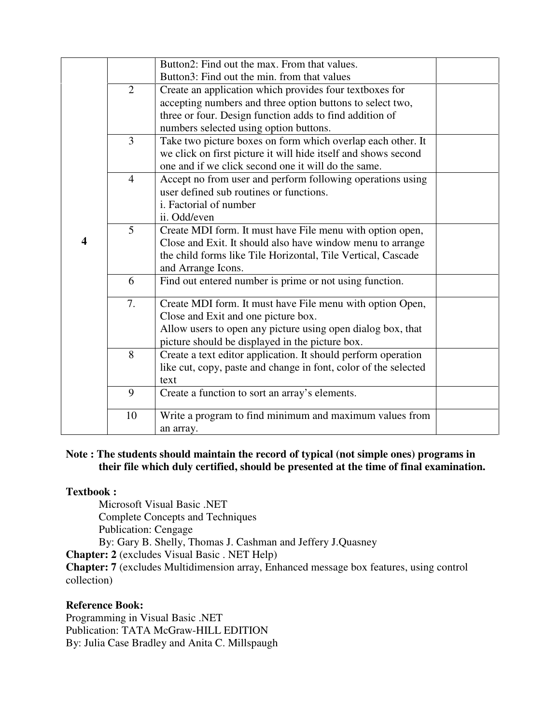|   |                | Button2: Find out the max. From that values.                    |
|---|----------------|-----------------------------------------------------------------|
|   |                | Button3: Find out the min. from that values                     |
|   | $\overline{2}$ | Create an application which provides four textboxes for         |
|   |                | accepting numbers and three option buttons to select two,       |
|   |                | three or four. Design function adds to find addition of         |
|   |                | numbers selected using option buttons.                          |
|   | 3              | Take two picture boxes on form which overlap each other. It     |
|   |                | we click on first picture it will hide itself and shows second  |
|   |                | one and if we click second one it will do the same.             |
|   | $\overline{4}$ | Accept no from user and perform following operations using      |
|   |                | user defined sub routines or functions.                         |
|   |                | i. Factorial of number                                          |
|   |                | ii. Odd/even                                                    |
|   | 5              | Create MDI form. It must have File menu with option open,       |
| 4 |                | Close and Exit. It should also have window menu to arrange      |
|   |                | the child forms like Tile Horizontal, Tile Vertical, Cascade    |
|   |                | and Arrange Icons.                                              |
|   | 6              | Find out entered number is prime or not using function.         |
|   | 7.             | Create MDI form. It must have File menu with option Open,       |
|   |                | Close and Exit and one picture box.                             |
|   |                | Allow users to open any picture using open dialog box, that     |
|   |                | picture should be displayed in the picture box.                 |
|   | 8              | Create a text editor application. It should perform operation   |
|   |                | like cut, copy, paste and change in font, color of the selected |
|   |                | text                                                            |
|   | 9              | Create a function to sort an array's elements.                  |
|   |                |                                                                 |
|   | 10             | Write a program to find minimum and maximum values from         |
|   |                | an array.                                                       |

#### **Note : The students should maintain the record of typical (not simple ones) programs in their file which duly certified, should be presented at the time of final examination.**

#### **Textbook :**

Microsoft Visual Basic .NET Complete Concepts and Techniques Publication: Cengage By: Gary B. Shelly, Thomas J. Cashman and Jeffery J.Quasney

**Chapter: 2** (excludes Visual Basic . NET Help)

**Chapter: 7** (excludes Multidimension array, Enhanced message box features, using control collection)

#### **Reference Book:**

Programming in Visual Basic .NET Publication: TATA McGraw-HILL EDITION By: Julia Case Bradley and Anita C. Millspaugh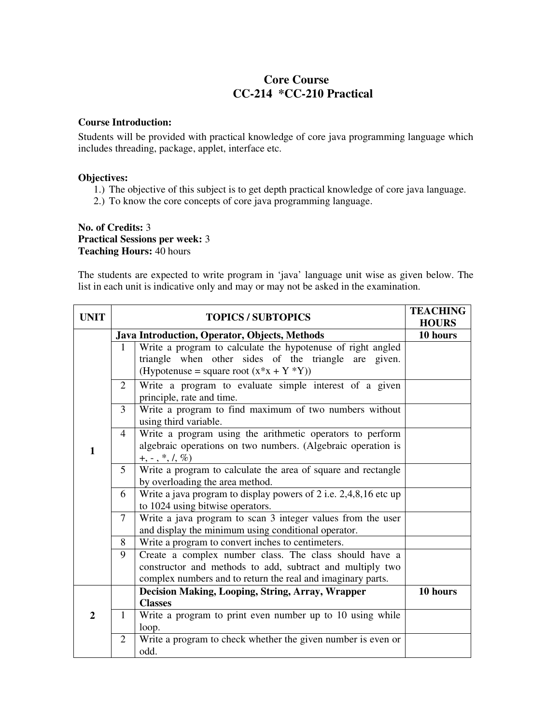# **Core Course CC-214 \*CC-210 Practical**

#### **Course Introduction:**

Students will be provided with practical knowledge of core java programming language which includes threading, package, applet, interface etc.

#### **Objectives:**

- 1.) The objective of this subject is to get depth practical knowledge of core java language.
- 2.) To know the core concepts of core java programming language.

#### **No. of Credits:** 3 **Practical Sessions per week:** 3 **Teaching Hours:** 40 hours

The students are expected to write program in 'java' language unit wise as given below. The list in each unit is indicative only and may or may not be asked in the examination.

| <b>UNIT</b>    | <b>TOPICS / SUBTOPICS</b> |                                                                                                                                                                                    | <b>TEACHING</b><br><b>HOURS</b> |
|----------------|---------------------------|------------------------------------------------------------------------------------------------------------------------------------------------------------------------------------|---------------------------------|
|                |                           | Java Introduction, Operator, Objects, Methods                                                                                                                                      | 10 hours                        |
|                | $\mathbf{1}$              | Write a program to calculate the hypotenuse of right angled<br>triangle when other sides of the triangle are given.<br>(Hypotenuse = square root $(x*x + Y * Y)$ )                 |                                 |
|                | 2                         | Write a program to evaluate simple interest of a given<br>principle, rate and time.                                                                                                |                                 |
|                | 3                         | Write a program to find maximum of two numbers without<br>using third variable.                                                                                                    |                                 |
| 1              | $\overline{4}$            | Write a program using the arithmetic operators to perform<br>algebraic operations on two numbers. (Algebraic operation is<br>$+, -, *, /, %$                                       |                                 |
|                | 5                         | Write a program to calculate the area of square and rectangle<br>by overloading the area method.                                                                                   |                                 |
|                | 6                         | Write a java program to display powers of 2 i.e. $2,4,8,16$ etc up<br>to 1024 using bitwise operators.                                                                             |                                 |
|                | 7                         | Write a java program to scan 3 integer values from the user<br>and display the minimum using conditional operator.                                                                 |                                 |
|                | 8                         | Write a program to convert inches to centimeters.                                                                                                                                  |                                 |
|                | 9                         | Create a complex number class. The class should have a<br>constructor and methods to add, subtract and multiply two<br>complex numbers and to return the real and imaginary parts. |                                 |
|                |                           | Decision Making, Looping, String, Array, Wrapper                                                                                                                                   | 10 hours                        |
| $\overline{2}$ | 1                         | <b>Classes</b><br>Write a program to print even number up to 10 using while<br>loop.                                                                                               |                                 |
|                | $\overline{2}$            | Write a program to check whether the given number is even or<br>odd.                                                                                                               |                                 |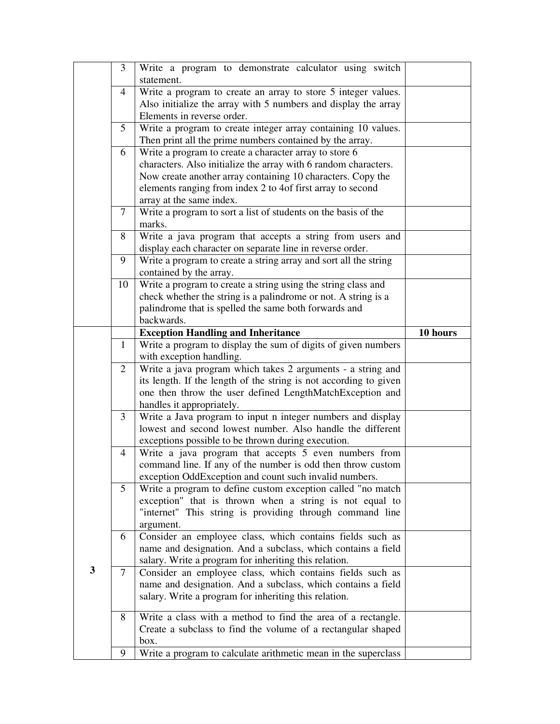|              | 3              | Write a program to demonstrate calculator using switch               |          |
|--------------|----------------|----------------------------------------------------------------------|----------|
|              |                | statement.                                                           |          |
|              | 4              | Write a program to create an array to store 5 integer values.        |          |
|              |                | Also initialize the array with 5 numbers and display the array       |          |
|              |                | Elements in reverse order.                                           |          |
|              | 5              | Write a program to create integer array containing 10 values.        |          |
|              |                | Then print all the prime numbers contained by the array.             |          |
|              | 6              | Write a program to create a character array to store 6               |          |
|              |                | characters. Also initialize the array with 6 random characters.      |          |
|              |                | Now create another array containing 10 characters. Copy the          |          |
|              |                | elements ranging from index 2 to 4of first array to second           |          |
|              |                | array at the same index.                                             |          |
|              | 7              | Write a program to sort a list of students on the basis of the       |          |
|              |                | marks.                                                               |          |
|              | 8              | Write a java program that accepts a string from users and            |          |
|              |                | display each character on separate line in reverse order.            |          |
|              | 9              | Write a program to create a string array and sort all the string     |          |
|              |                | contained by the array.                                              |          |
|              | 10             | Write a program to create a string using the string class and        |          |
|              |                | check whether the string is a palindrome or not. A string is a       |          |
|              |                | palindrome that is spelled the same both forwards and                |          |
|              |                | backwards.                                                           |          |
|              |                | <b>Exception Handling and Inheritance</b>                            | 10 hours |
|              | $\mathbf{1}$   | Write a program to display the sum of digits of given numbers        |          |
|              |                | with exception handling.                                             |          |
|              | $\overline{2}$ | Write a java program which takes 2 arguments - a string and          |          |
|              |                |                                                                      |          |
|              |                | its length. If the length of the string is not according to given    |          |
|              |                | one then throw the user defined LengthMatchException and             |          |
|              |                | handles it appropriately.                                            |          |
|              | $\mathfrak{Z}$ | Write a Java program to input n integer numbers and display          |          |
|              |                | lowest and second lowest number. Also handle the different           |          |
|              |                | exceptions possible to be thrown during execution.                   |          |
|              | 4              | Write a java program that accepts 5 even numbers from                |          |
|              |                | command line. If any of the number is odd then throw custom          |          |
|              |                | exception OddException and count such invalid numbers.               |          |
|              | 5              | Write a program to define custom exception called "no match"         |          |
|              |                | exception" that is thrown when a string is not equal to              |          |
|              |                | "internet" This string is providing through command line             |          |
|              |                | argument.                                                            |          |
|              | 6              | Consider an employee class, which contains fields such as            |          |
|              |                | name and designation. And a subclass, which contains a field         |          |
|              |                | salary. Write a program for inheriting this relation.                |          |
| $\mathbf{3}$ | 7              | Consider an employee class, which contains fields such as            |          |
|              |                | name and designation. And a subclass, which contains a field         |          |
|              |                | salary. Write a program for inheriting this relation.                |          |
|              | 8              |                                                                      |          |
|              |                | Write a class with a method to find the area of a rectangle.         |          |
|              |                | Create a subclass to find the volume of a rectangular shaped<br>box. |          |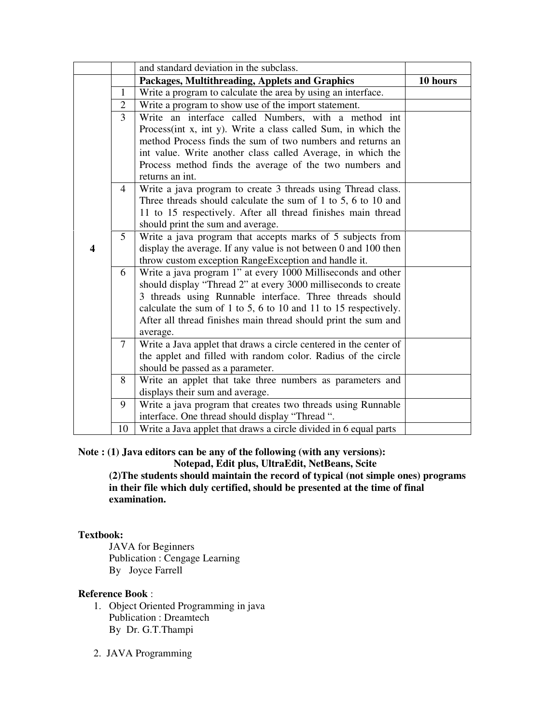|                         |                | and standard deviation in the subclass.                                                                                            |          |
|-------------------------|----------------|------------------------------------------------------------------------------------------------------------------------------------|----------|
|                         |                | Packages, Multithreading, Applets and Graphics                                                                                     | 10 hours |
|                         | $\mathbf{1}$   | Write a program to calculate the area by using an interface.                                                                       |          |
|                         | $\overline{2}$ | Write a program to show use of the import statement.                                                                               |          |
|                         | 3              | Write an interface called Numbers, with a method int                                                                               |          |
|                         |                | Process(int x, int y). Write a class called Sum, in which the                                                                      |          |
|                         |                | method Process finds the sum of two numbers and returns an                                                                         |          |
|                         |                | int value. Write another class called Average, in which the                                                                        |          |
|                         |                | Process method finds the average of the two numbers and                                                                            |          |
|                         |                | returns an int.                                                                                                                    |          |
|                         | $\overline{4}$ | Write a java program to create 3 threads using Thread class.                                                                       |          |
|                         |                | Three threads should calculate the sum of 1 to 5, 6 to 10 and                                                                      |          |
|                         |                | 11 to 15 respectively. After all thread finishes main thread                                                                       |          |
|                         |                | should print the sum and average.                                                                                                  |          |
|                         | 5 <sup>5</sup> | Write a java program that accepts marks of 5 subjects from                                                                         |          |
| $\overline{\mathbf{4}}$ |                | display the average. If any value is not between 0 and 100 then                                                                    |          |
|                         |                | throw custom exception RangeException and handle it.                                                                               |          |
|                         | 6              | Write a java program 1" at every 1000 Milliseconds and other                                                                       |          |
|                         |                | should display "Thread 2" at every 3000 milliseconds to create                                                                     |          |
|                         |                | 3 threads using Runnable interface. Three threads should                                                                           |          |
|                         |                | calculate the sum of 1 to 5, 6 to 10 and 11 to 15 respectively.                                                                    |          |
|                         |                | After all thread finishes main thread should print the sum and                                                                     |          |
|                         |                | average.                                                                                                                           |          |
|                         | 7              | Write a Java applet that draws a circle centered in the center of<br>the applet and filled with random color. Radius of the circle |          |
|                         |                | should be passed as a parameter.                                                                                                   |          |
|                         | 8              | Write an applet that take three numbers as parameters and                                                                          |          |
|                         |                | displays their sum and average.                                                                                                    |          |
|                         | 9              | Write a java program that creates two threads using Runnable                                                                       |          |
|                         |                | interface. One thread should display "Thread ".                                                                                    |          |
|                         | 10             | Write a Java applet that draws a circle divided in 6 equal parts                                                                   |          |

**Note : (1) Java editors can be any of the following (with any versions):** 

 **Notepad, Edit plus, UltraEdit, NetBeans, Scite** 

**(2)The students should maintain the record of typical (not simple ones) programs in their file which duly certified, should be presented at the time of final examination.** 

#### **Textbook:**

JAVA for Beginners Publication : Cengage Learning By Joyce Farrell

#### **Reference Book** :

- 1. Object Oriented Programming in java Publication : Dreamtech By Dr. G.T.Thampi
- 2. JAVA Programming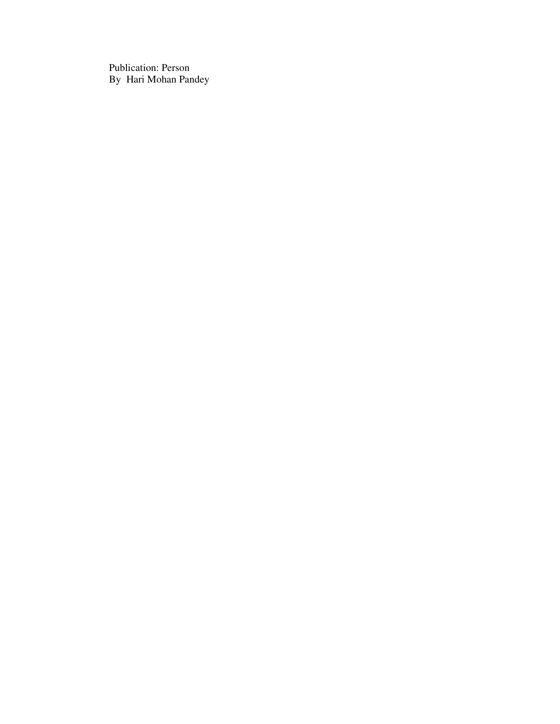Publication: Person By Hari Mohan Pandey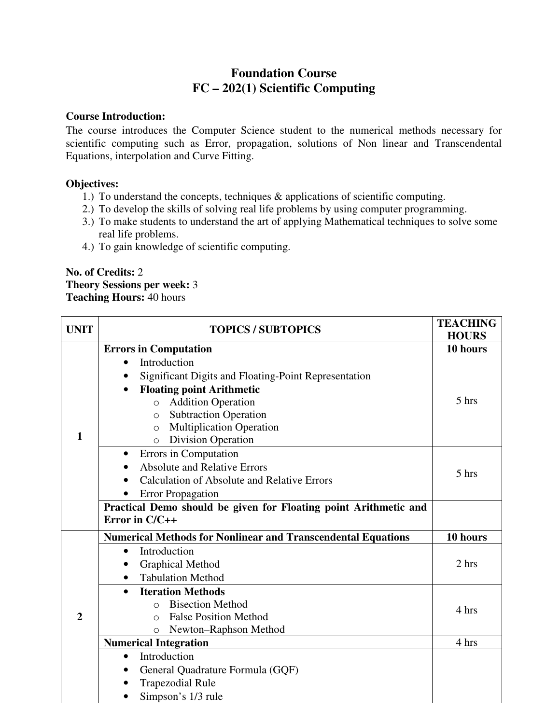# **Foundation Course FC – 202(1) Scientific Computing**

#### **Course Introduction:**

The course introduces the Computer Science student to the numerical methods necessary for scientific computing such as Error, propagation, solutions of Non linear and Transcendental Equations, interpolation and Curve Fitting.

# **Objectives:**

- 1.) To understand the concepts, techniques & applications of scientific computing.
- 2.) To develop the skills of solving real life problems by using computer programming.
- 3.) To make students to understand the art of applying Mathematical techniques to solve some real life problems.
- 4.) To gain knowledge of scientific computing.

# **No. of Credits:** 2 **Theory Sessions per week:** 3 **Teaching Hours:** 40 hours

| <b>UNIT</b>    | <b>TOPICS / SUBTOPICS</b>                                           | <b>TEACHING</b><br><b>HOURS</b> |
|----------------|---------------------------------------------------------------------|---------------------------------|
|                | <b>Errors in Computation</b>                                        | 10 hours                        |
|                | Introduction                                                        |                                 |
|                | Significant Digits and Floating-Point Representation                |                                 |
|                | <b>Floating point Arithmetic</b>                                    |                                 |
|                | <b>Addition Operation</b><br>$\circ$                                | 5 hrs                           |
|                | <b>Subtraction Operation</b><br>$\circ$                             |                                 |
|                | <b>Multiplication Operation</b><br>$\circ$                          |                                 |
| 1              | <b>Division Operation</b><br>$\circ$                                |                                 |
|                | Errors in Computation<br>$\bullet$                                  |                                 |
|                | <b>Absolute and Relative Errors</b>                                 | 5 hrs                           |
|                | <b>Calculation of Absolute and Relative Errors</b>                  |                                 |
|                | <b>Error Propagation</b><br>$\bullet$                               |                                 |
|                | Practical Demo should be given for Floating point Arithmetic and    |                                 |
|                | Error in $C/C++$                                                    |                                 |
|                | <b>Numerical Methods for Nonlinear and Transcendental Equations</b> | 10 hours                        |
|                | Introduction<br>$\bullet$                                           |                                 |
|                | <b>Graphical Method</b>                                             | 2 hrs                           |
|                | <b>Tabulation Method</b><br>$\bullet$                               |                                 |
|                | <b>Iteration Methods</b>                                            |                                 |
|                | <b>Bisection Method</b><br>$\bigcirc$                               | 4 hrs                           |
| $\overline{2}$ | <b>False Position Method</b><br>$\Omega$                            |                                 |
|                | Newton-Raphson Method<br>$\Omega$                                   |                                 |
|                | <b>Numerical Integration</b>                                        | 4 hrs                           |
|                | Introduction<br>$\bullet$                                           |                                 |
|                | General Quadrature Formula (GQF)                                    |                                 |
|                | <b>Trapezodial Rule</b>                                             |                                 |
|                | Simpson's 1/3 rule                                                  |                                 |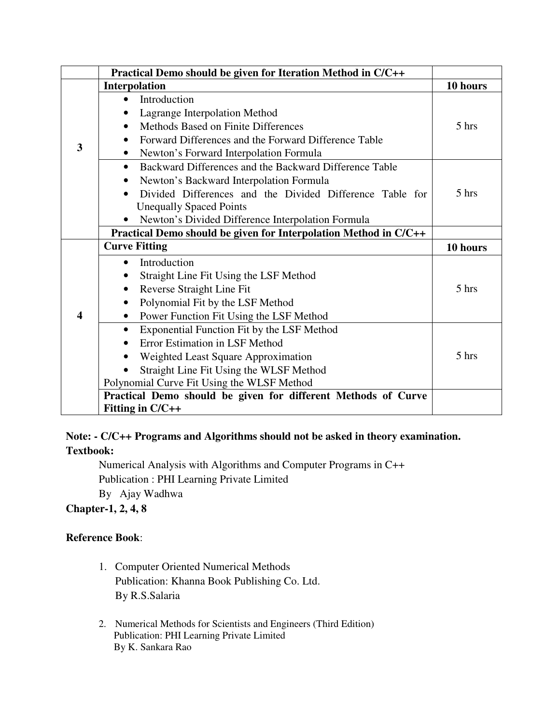|                         | Practical Demo should be given for Iteration Method in C/C++        |          |
|-------------------------|---------------------------------------------------------------------|----------|
|                         | Interpolation                                                       | 10 hours |
|                         | Introduction                                                        |          |
|                         | Lagrange Interpolation Method                                       |          |
|                         | Methods Based on Finite Differences                                 | 5 hrs    |
|                         | Forward Differences and the Forward Difference Table                |          |
| 3                       | Newton's Forward Interpolation Formula<br>$\bullet$                 |          |
|                         | Backward Differences and the Backward Difference Table<br>$\bullet$ |          |
|                         | Newton's Backward Interpolation Formula                             |          |
|                         | Divided Differences and the Divided Difference Table for            | 5 hrs    |
|                         | <b>Unequally Spaced Points</b>                                      |          |
|                         | Newton's Divided Difference Interpolation Formula                   |          |
|                         | Practical Demo should be given for Interpolation Method in C/C++    |          |
|                         | <b>Curve Fitting</b>                                                | 10 hours |
|                         | Introduction<br>$\bullet$                                           |          |
|                         | Straight Line Fit Using the LSF Method                              |          |
|                         | Reverse Straight Line Fit                                           | 5 hrs    |
|                         | Polynomial Fit by the LSF Method                                    |          |
| $\overline{\mathbf{4}}$ | Power Function Fit Using the LSF Method                             |          |
|                         | Exponential Function Fit by the LSF Method                          |          |
|                         | <b>Error Estimation in LSF Method</b><br>$\bullet$                  |          |
|                         | Weighted Least Square Approximation                                 | 5 hrs    |
|                         | Straight Line Fit Using the WLSF Method                             |          |
|                         | Polynomial Curve Fit Using the WLSF Method                          |          |
|                         | Practical Demo should be given for different Methods of Curve       |          |
|                         | Fitting in C/C++                                                    |          |

# **Note: - C/C++ Programs and Algorithms should not be asked in theory examination.**

**Textbook:** 

Numerical Analysis with Algorithms and Computer Programs in C++ Publication : PHI Learning Private Limited

By Ajay Wadhwa

# **Chapter-1, 2, 4, 8**

# **Reference Book**:

- 1. Computer Oriented Numerical Methods Publication: Khanna Book Publishing Co. Ltd. By R.S.Salaria
- 2. Numerical Methods for Scientists and Engineers (Third Edition) Publication: PHI Learning Private Limited By K. Sankara Rao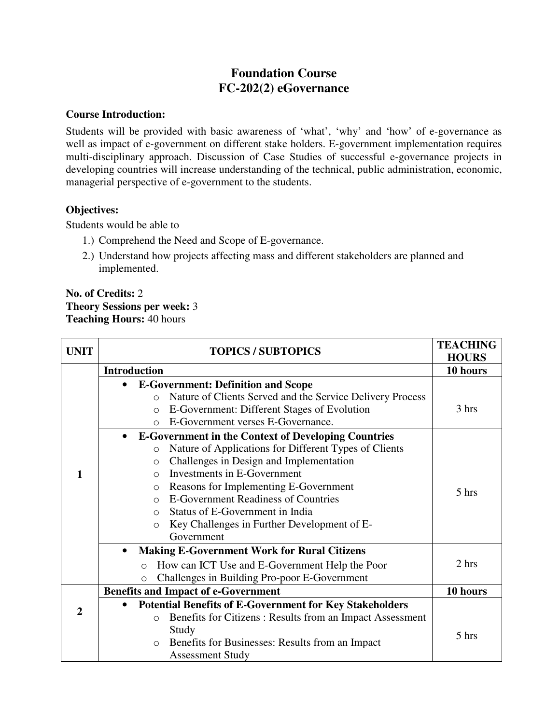# **Foundation Course FC-202(2) eGovernance**

#### **Course Introduction:**

Students will be provided with basic awareness of 'what', 'why' and 'how' of e-governance as well as impact of e-government on different stake holders. E-government implementation requires multi-disciplinary approach. Discussion of Case Studies of successful e-governance projects in developing countries will increase understanding of the technical, public administration, economic, managerial perspective of e-government to the students.

#### **Objectives:**

Students would be able to

- 1.) Comprehend the Need and Scope of E-governance.
- 2.) Understand how projects affecting mass and different stakeholders are planned and implemented.

#### **No. of Credits:** 2 **Theory Sessions per week:** 3 **Teaching Hours:** 40 hours

| <b>UNIT</b>    | <b>TOPICS / SUBTOPICS</b>                                               | <b>TEACHING</b><br><b>HOURS</b> |
|----------------|-------------------------------------------------------------------------|---------------------------------|
|                | <b>Introduction</b>                                                     | 10 hours                        |
|                | <b>E-Government: Definition and Scope</b>                               |                                 |
|                | Nature of Clients Served and the Service Delivery Process<br>$\circ$    |                                 |
|                | E-Government: Different Stages of Evolution<br>$\circ$                  | 3 hrs                           |
|                | E-Government verses E-Governance.<br>$\bigcirc$                         |                                 |
|                | <b>E-Government in the Context of Developing Countries</b><br>$\bullet$ |                                 |
|                | Nature of Applications for Different Types of Clients<br>$\circ$        |                                 |
|                | Challenges in Design and Implementation<br>$\circ$                      |                                 |
| 1              | Investments in E-Government<br>$\bigcap$                                |                                 |
|                | Reasons for Implementing E-Government<br>$\circ$                        | 5 hrs                           |
|                | <b>E-Government Readiness of Countries</b><br>$\bigcirc$                |                                 |
|                | Status of E-Government in India<br>$\bigcirc$                           |                                 |
|                | Key Challenges in Further Development of E-<br>$\circ$                  |                                 |
|                | Government                                                              |                                 |
|                | <b>Making E-Government Work for Rural Citizens</b>                      |                                 |
|                | How can ICT Use and E-Government Help the Poor<br>$\circ$               | 2 hrs                           |
|                | Challenges in Building Pro-poor E-Government<br>$\circ$                 |                                 |
|                | <b>Benefits and Impact of e-Government</b>                              | 10 hours                        |
|                | <b>Potential Benefits of E-Government for Key Stakeholders</b>          |                                 |
| $\overline{2}$ | Benefits for Citizens: Results from an Impact Assessment<br>$\circ$     |                                 |
|                | Study                                                                   | 5 hrs                           |
|                | Benefits for Businesses: Results from an Impact<br>$\circ$              |                                 |
|                | <b>Assessment Study</b>                                                 |                                 |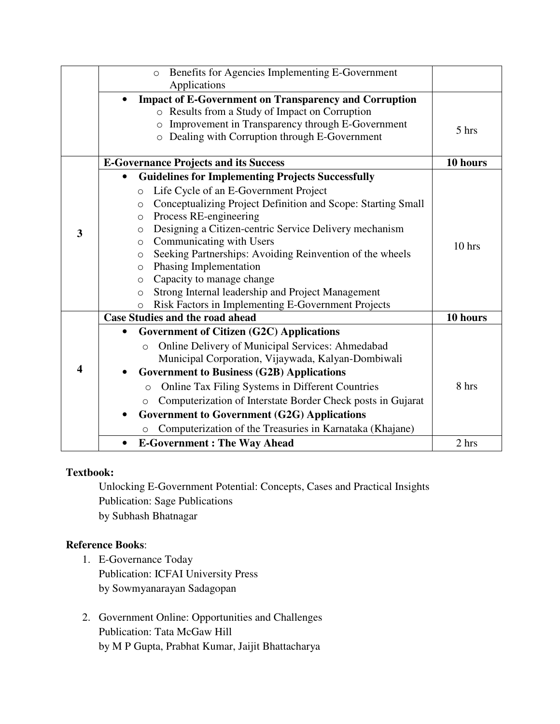|   | Benefits for Agencies Implementing E-Government<br>$\circ$                |          |
|---|---------------------------------------------------------------------------|----------|
|   | Applications                                                              |          |
|   | <b>Impact of E-Government on Transparency and Corruption</b><br>$\bullet$ |          |
|   | o Results from a Study of Impact on Corruption                            |          |
|   | Improvement in Transparency through E-Government<br>$\circ$               | 5 hrs    |
|   | Dealing with Corruption through E-Government<br>$\circ$                   |          |
|   | <b>E-Governance Projects and its Success</b>                              | 10 hours |
|   | <b>Guidelines for Implementing Projects Successfully</b>                  |          |
|   | Life Cycle of an E-Government Project<br>$\circ$                          |          |
|   | Conceptualizing Project Definition and Scope: Starting Small<br>$\circ$   |          |
|   | Process RE-engineering<br>$\circ$                                         |          |
| 3 | Designing a Citizen-centric Service Delivery mechanism<br>$\circ$         |          |
|   | Communicating with Users<br>$\circ$                                       | 10 hrs   |
|   | Seeking Partnerships: Avoiding Reinvention of the wheels<br>$\circ$       |          |
|   | Phasing Implementation<br>$\circ$                                         |          |
|   | Capacity to manage change<br>$\circ$                                      |          |
|   | Strong Internal leadership and Project Management<br>$\circ$              |          |
|   | Risk Factors in Implementing E-Government Projects<br>$\Omega$            |          |
|   | <b>Case Studies and the road ahead</b>                                    | 10 hours |
|   | <b>Government of Citizen (G2C) Applications</b>                           |          |
|   | Online Delivery of Municipal Services: Ahmedabad<br>$\circ$               |          |
|   | Municipal Corporation, Vijaywada, Kalyan-Dombiwali                        |          |
| 4 | <b>Government to Business (G2B) Applications</b>                          |          |
|   | Online Tax Filing Systems in Different Countries<br>$\circ$               | 8 hrs    |
|   | Computerization of Interstate Border Check posts in Gujarat<br>$\circ$    |          |
|   | <b>Government to Government (G2G) Applications</b><br>٠                   |          |
|   | Computerization of the Treasuries in Karnataka (Khajane)<br>$\circ$       |          |
|   | <b>E-Government: The Way Ahead</b>                                        | 2 hrs    |

Unlocking E-Government Potential: Concepts, Cases and Practical Insights Publication: Sage Publications by Subhash Bhatnagar

# **Reference Books**:

- 1. E-Governance Today Publication: ICFAI University Press by Sowmyanarayan Sadagopan
- 2. Government Online: Opportunities and Challenges Publication: Tata McGaw Hill by M P Gupta, Prabhat Kumar, Jaijit Bhattacharya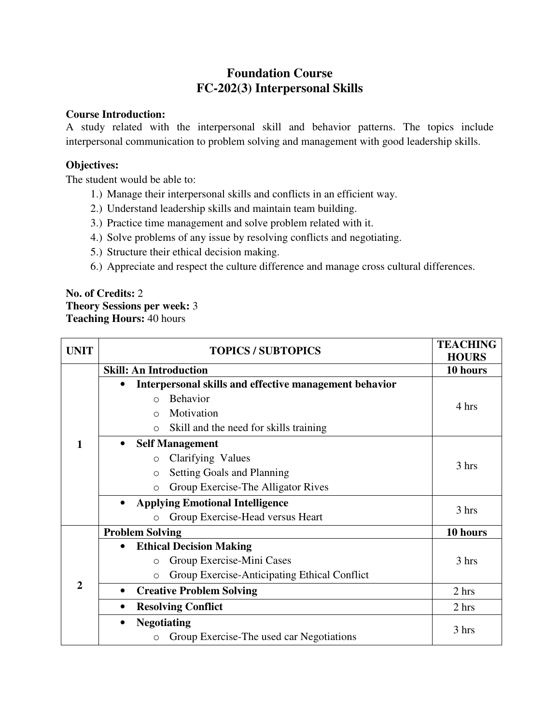# **Foundation Course FC-202(3) Interpersonal Skills**

#### **Course Introduction:**

A study related with the interpersonal skill and behavior patterns. The topics include interpersonal communication to problem solving and management with good leadership skills.

# **Objectives:**

The student would be able to:

- 1.) Manage their interpersonal skills and conflicts in an efficient way.
- 2.) Understand leadership skills and maintain team building.
- 3.) Practice time management and solve problem related with it.
- 4.) Solve problems of any issue by resolving conflicts and negotiating.
- 5.) Structure their ethical decision making.
- 6.) Appreciate and respect the culture difference and manage cross cultural differences.

#### **No. of Credits:** 2 **Theory Sessions per week:** 3 **Teaching Hours:** 40 hours

| <b>UNIT</b>  |           | <b>TOPICS / SUBTOPICS</b>                               | <b>TEACHING</b><br><b>HOURS</b> |
|--------------|-----------|---------------------------------------------------------|---------------------------------|
|              |           | <b>Skill: An Introduction</b>                           | 10 hours                        |
|              | $\bullet$ | Interpersonal skills and effective management behavior  |                                 |
|              |           | <b>Behavior</b><br>$\bigcap$                            | 4 hrs                           |
|              |           | Motivation<br>$\bigcirc$                                |                                 |
|              |           | Skill and the need for skills training<br>$\circ$       |                                 |
| 1            |           | <b>Self Management</b>                                  |                                 |
|              |           | Clarifying Values<br>$\circ$                            |                                 |
|              |           | <b>Setting Goals and Planning</b><br>$\circ$            | 3 hrs                           |
|              |           | Group Exercise-The Alligator Rives<br>$\circ$           |                                 |
|              | $\bullet$ | <b>Applying Emotional Intelligence</b>                  |                                 |
|              |           | Group Exercise-Head versus Heart<br>$\Omega$            | 3 hrs                           |
|              |           | <b>Problem Solving</b>                                  | 10 hours                        |
|              | $\bullet$ | <b>Ethical Decision Making</b>                          |                                 |
|              |           | Group Exercise-Mini Cases<br>$\circ$                    | 3 hrs                           |
| $\mathbf{2}$ |           | Group Exercise-Anticipating Ethical Conflict<br>$\circ$ |                                 |
|              | $\bullet$ | <b>Creative Problem Solving</b>                         | 2 <sub>hrs</sub>                |
|              | $\bullet$ | <b>Resolving Conflict</b>                               | 2 hrs                           |
|              | $\bullet$ | <b>Negotiating</b>                                      |                                 |
|              |           | Group Exercise-The used car Negotiations                | 3 hrs                           |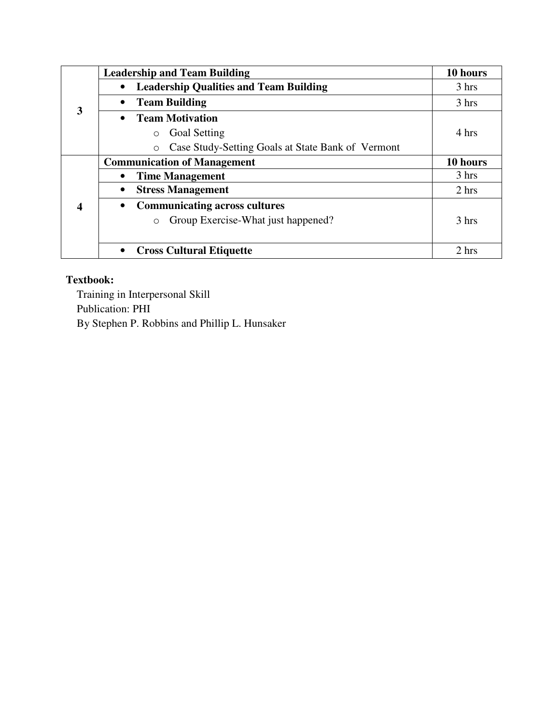|   |           | <b>Leadership and Team Building</b>                          | 10 hours |
|---|-----------|--------------------------------------------------------------|----------|
| 3 | $\bullet$ | <b>Leadership Qualities and Team Building</b>                | 3 hrs    |
|   | $\bullet$ | <b>Team Building</b>                                         | 3 hrs    |
|   | $\bullet$ | <b>Team Motivation</b>                                       |          |
|   |           | <b>Goal Setting</b><br>$\circ$                               | 4 hrs    |
|   |           | Case Study-Setting Goals at State Bank of Vermont<br>$\circ$ |          |
|   |           | <b>Communication of Management</b>                           | 10 hours |
|   | $\bullet$ | <b>Time Management</b>                                       | 3 hrs    |
|   | $\bullet$ | <b>Stress Management</b>                                     | 2 hrs    |
| 4 | $\bullet$ | <b>Communicating across cultures</b>                         |          |
|   |           | Group Exercise-What just happened?<br>$\circ$                | 3 hrs    |
|   |           |                                                              |          |
|   | $\bullet$ | <b>Cross Cultural Etiquette</b>                              | 2 hrs    |

Training in Interpersonal Skill Publication: PHI By Stephen P. Robbins and Phillip L. Hunsaker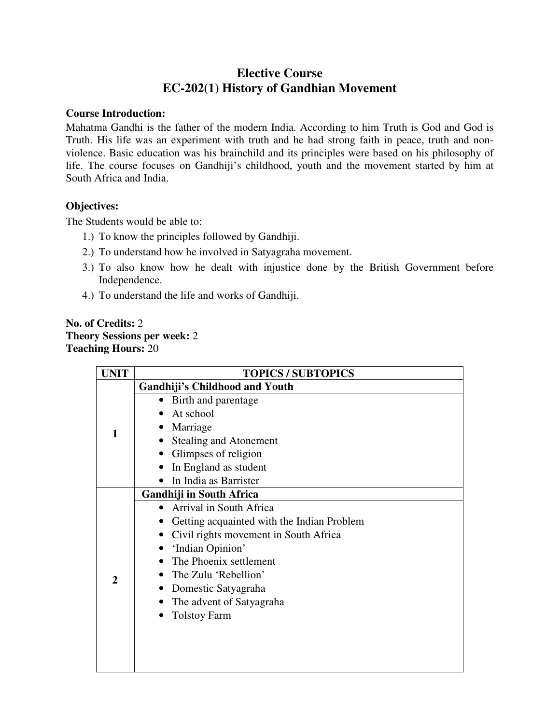# **Elective Course EC-202(1) History of Gandhian Movement**

#### **Course Introduction:**

Mahatma Gandhi is the father of the modern India. According to him Truth is God and God is Truth. His life was an experiment with truth and he had strong faith in peace, truth and nonviolence. Basic education was his brainchild and its principles were based on his philosophy of life. The course focuses on Gandhiji's childhood, youth and the movement started by him at South Africa and India.

#### **Objectives:**

The Students would be able to:

- 1.) To know the principles followed by Gandhiji.
- 2.) To understand how he involved in Satyagraha movement.
- 3.) To also know how he dealt with injustice done by the British Government before Independence.
- 4.) To understand the life and works of Gandhiji.

### **No. of Credits:** 2 **Theory Sessions per week:** 2 **Teaching Hours:** 20

| <b>UNIT</b>  | <b>TOPICS / SUBTOPICS</b>                  |
|--------------|--------------------------------------------|
| 1            | <b>Gandhiji's Childhood and Youth</b>      |
|              | Birth and parentage<br>$\bullet$           |
|              | At school                                  |
|              | Marriage                                   |
|              | <b>Stealing and Atonement</b>              |
|              | Glimpses of religion                       |
|              | In England as student                      |
|              | In India as Barrister                      |
|              | Gandhiji in South Africa                   |
|              | Arrival in South Africa                    |
|              | Getting acquainted with the Indian Problem |
|              | Civil rights movement in South Africa      |
|              | 'Indian Opinion'                           |
|              | The Phoenix settlement                     |
| $\mathbf{2}$ | The Zulu 'Rebellion'                       |
|              | Domestic Satyagraha                        |
|              | The advent of Satyagraha                   |
|              | <b>Tolstoy Farm</b>                        |
|              |                                            |
|              |                                            |
|              |                                            |
|              |                                            |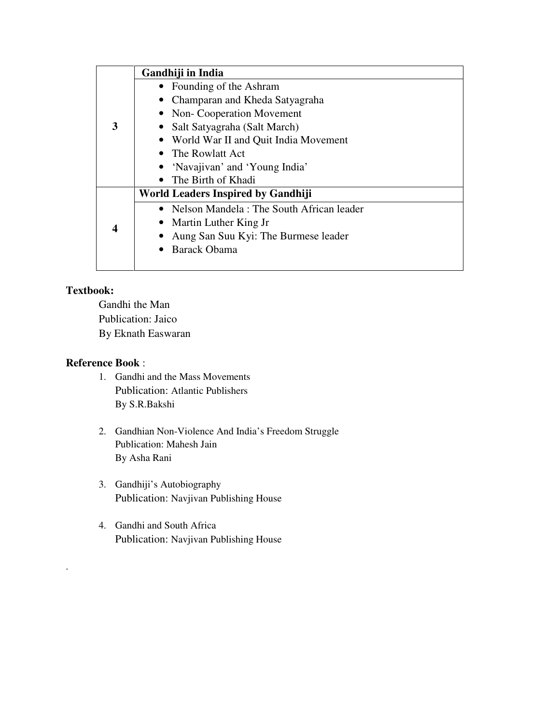|   | Gandhiji in India                          |
|---|--------------------------------------------|
| 3 | • Founding of the Ashram                   |
|   | • Champaran and Kheda Satyagraha           |
|   | • Non-Cooperation Movement                 |
|   | • Salt Satyagraha (Salt March)             |
|   | • World War II and Quit India Movement     |
|   | • The Rowlatt Act                          |
|   | • 'Navajivan' and 'Young India'            |
|   | • The Birth of Khadi                       |
|   | World Leaders Inspired by Gandhiji         |
|   | • Nelson Mandela: The South African leader |
|   | Martin Luther King Jr                      |
| 4 | Aung San Suu Kyi: The Burmese leader       |
|   | <b>Barack Obama</b>                        |
|   |                                            |

.

 Gandhi the Man Publication: Jaico By Eknath Easwaran

# **Reference Book** :

- 1. Gandhi and the Mass Movements Publication: Atlantic Publishers By S.R.Bakshi
- 2. Gandhian Non-Violence And India's Freedom Struggle Publication: Mahesh Jain By Asha Rani
- 3. Gandhiji's Autobiography Publication: Navjivan Publishing House
- 4. Gandhi and South Africa Publication: Navjivan Publishing House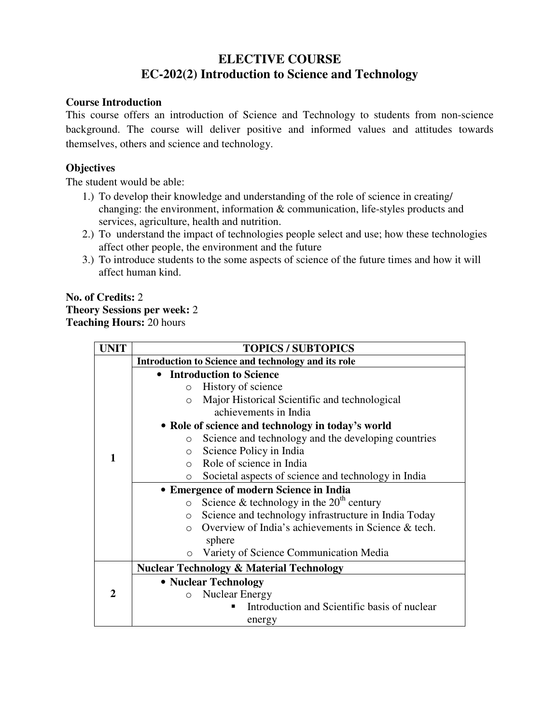# **ELECTIVE COURSE EC-202(2) Introduction to Science and Technology**

#### **Course Introduction**

This course offers an introduction of Science and Technology to students from non-science background. The course will deliver positive and informed values and attitudes towards themselves, others and science and technology.

# **Objectives**

The student would be able:

- 1.) To develop their knowledge and understanding of the role of science in creating/ changing: the environment, information & communication, life-styles products and services, agriculture, health and nutrition.
- 2.) To understand the impact of technologies people select and use; how these technologies affect other people, the environment and the future
- 3.) To introduce students to the some aspects of science of the future times and how it will affect human kind.

#### **No. of Credits:** 2 **Theory Sessions per week:** 2 **Teaching Hours:** 20 hours

| JNIT | <b>TOPICS / SUBTOPICS</b>                                        |  |  |
|------|------------------------------------------------------------------|--|--|
|      | Introduction to Science and technology and its role              |  |  |
|      | • Introduction to Science                                        |  |  |
|      | History of science<br>$\circ$                                    |  |  |
|      | Major Historical Scientific and technological<br>$\Omega$        |  |  |
|      | achievements in India                                            |  |  |
|      | • Role of science and technology in today's world                |  |  |
|      | Science and technology and the developing countries<br>$\Omega$  |  |  |
|      | Science Policy in India<br>$\circ$                               |  |  |
| 1    | Role of science in India<br>$\Omega$                             |  |  |
|      | Societal aspects of science and technology in India<br>$\circ$   |  |  |
|      | • Emergence of modern Science in India                           |  |  |
|      | Science & technology in the $20th$ century<br>$\circ$            |  |  |
|      | Science and technology infrastructure in India Today<br>$\circ$  |  |  |
|      | Overview of India's achievements in Science & tech.<br>$\bigcap$ |  |  |
|      | sphere                                                           |  |  |
|      | Variety of Science Communication Media<br>$\Omega$               |  |  |
|      | <b>Nuclear Technology &amp; Material Technology</b>              |  |  |
|      | • Nuclear Technology                                             |  |  |
| 2    | <b>Nuclear Energy</b><br>$\circ$                                 |  |  |
|      | Introduction and Scientific basis of nuclear                     |  |  |
|      | energy                                                           |  |  |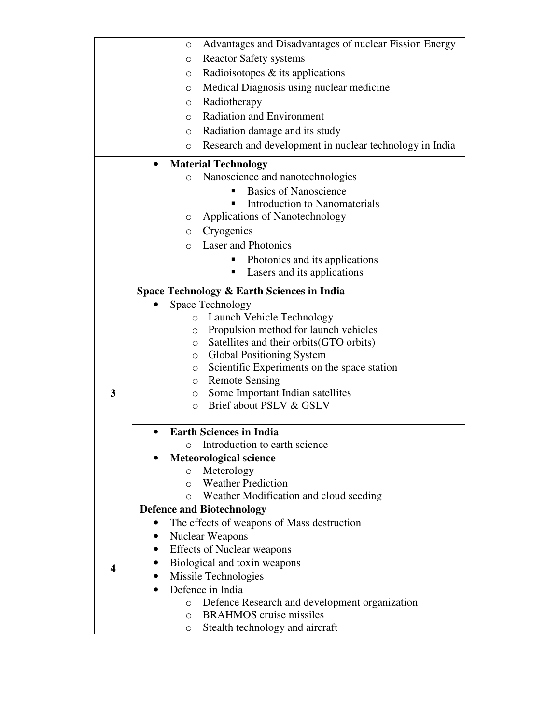|   | Advantages and Disadvantages of nuclear Fission Energy<br>O                       |
|---|-----------------------------------------------------------------------------------|
|   | <b>Reactor Safety systems</b><br>$\circ$                                          |
|   | Radioisotopes $\&$ its applications<br>O                                          |
|   | Medical Diagnosis using nuclear medicine<br>O                                     |
|   | Radiotherapy<br>O                                                                 |
|   | <b>Radiation and Environment</b><br>$\circ$                                       |
|   | Radiation damage and its study<br>O                                               |
|   | Research and development in nuclear technology in India<br>$\circ$                |
|   |                                                                                   |
|   | <b>Material Technology</b>                                                        |
|   | Nanoscience and nanotechnologies<br>$\circ$                                       |
|   | <b>Basics of Nanoscience</b>                                                      |
|   | Introduction to Nanomaterials<br>п                                                |
|   | Applications of Nanotechnology<br>$\circ$                                         |
|   | Cryogenics<br>O                                                                   |
|   | <b>Laser and Photonics</b><br>$\Omega$                                            |
|   | Photonics and its applications<br>п                                               |
|   | Lasers and its applications                                                       |
|   | Space Technology & Earth Sciences in India                                        |
|   | Space Technology                                                                  |
|   | Launch Vehicle Technology<br>$\circ$                                              |
|   | Propulsion method for launch vehicles<br>$\circ$                                  |
|   | Satellites and their orbits (GTO orbits)<br>$\circ$                               |
|   | <b>Global Positioning System</b><br>$\circ$                                       |
|   | Scientific Experiments on the space station<br>$\circ$                            |
|   | o Remote Sensing                                                                  |
| 3 | Some Important Indian satellites<br>$\circ$<br>Brief about PSLV & GSLV<br>$\circ$ |
|   |                                                                                   |
|   | <b>Earth Sciences in India</b>                                                    |
|   | o Introduction to earth science                                                   |
|   | <b>Meteorological science</b>                                                     |
|   | Meterology<br>$\circ$                                                             |
|   | <b>Weather Prediction</b><br>$\Omega$                                             |
|   | Weather Modification and cloud seeding<br>$\circ$                                 |
|   | <b>Defence and Biotechnology</b>                                                  |
|   | The effects of weapons of Mass destruction                                        |
|   | <b>Nuclear Weapons</b>                                                            |
|   | <b>Effects of Nuclear weapons</b>                                                 |
| 4 | Biological and toxin weapons                                                      |
|   | Missile Technologies                                                              |
|   | Defence in India                                                                  |
|   | Defence Research and development organization<br>$\circ$                          |
|   | <b>BRAHMOS</b> cruise missiles<br>$\circ$                                         |
|   | Stealth technology and aircraft<br>O                                              |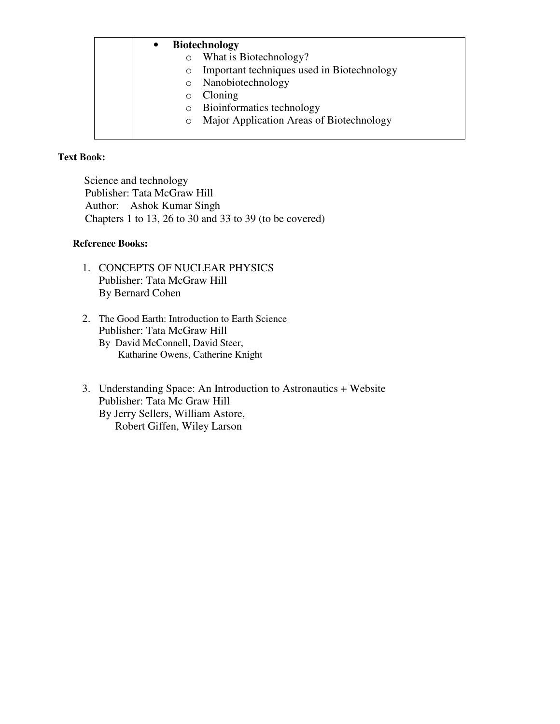# • **Biotechnology**

- o What is Biotechnology?
- o Important techniques used in Biotechnology
- o Nanobiotechnology
- o Cloning
- o Bioinformatics technology
- o Major Application Areas of Biotechnology

#### **Text Book:**

Science and technology Publisher: Tata McGraw Hill Author: Ashok Kumar Singh Chapters 1 to 13, 26 to 30 and 33 to 39 (to be covered)

#### **Reference Books:**

- 1. CONCEPTS OF NUCLEAR PHYSICS Publisher: Tata McGraw Hill By Bernard Cohen
- 2. The Good Earth: Introduction to Earth Science Publisher: Tata McGraw Hill By David McConnell, David Steer, Katharine Owens, Catherine Knight
- 3. Understanding Space: An Introduction to Astronautics + Website Publisher: Tata Mc Graw Hill By Jerry Sellers, William Astore, Robert Giffen, Wiley Larson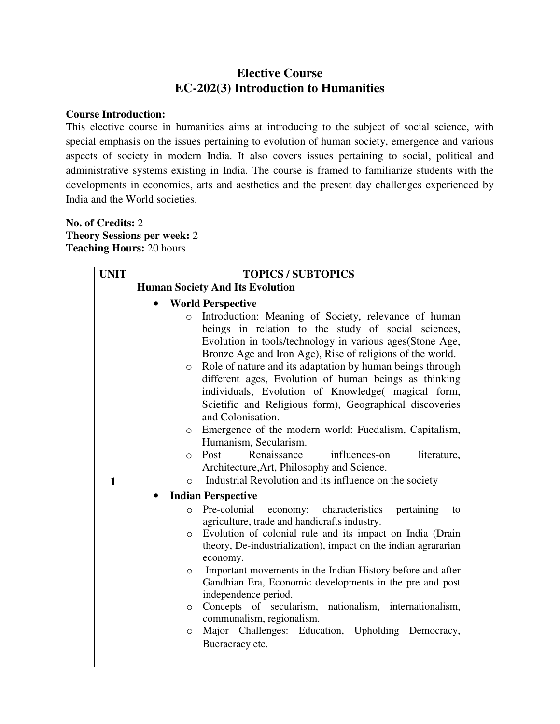# **Elective Course EC-202(3) Introduction to Humanities**

#### **Course Introduction:**

This elective course in humanities aims at introducing to the subject of social science, with special emphasis on the issues pertaining to evolution of human society, emergence and various aspects of society in modern India. It also covers issues pertaining to social, political and administrative systems existing in India. The course is framed to familiarize students with the developments in economics, arts and aesthetics and the present day challenges experienced by India and the World societies.

### **No. of Credits:** 2 **Theory Sessions per week:** 2 **Teaching Hours:** 20 hours

| <b>UNIT</b> | <b>TOPICS / SUBTOPICS</b>                                                                                                                                                                                                                                                                                                                                                                                                                                                                                                                                                                                                                                                                                                                                                                                                                                                                                                                                                                                                                                                                                                                                                                                                                                                                                                                                                                                                                                                                                     |
|-------------|---------------------------------------------------------------------------------------------------------------------------------------------------------------------------------------------------------------------------------------------------------------------------------------------------------------------------------------------------------------------------------------------------------------------------------------------------------------------------------------------------------------------------------------------------------------------------------------------------------------------------------------------------------------------------------------------------------------------------------------------------------------------------------------------------------------------------------------------------------------------------------------------------------------------------------------------------------------------------------------------------------------------------------------------------------------------------------------------------------------------------------------------------------------------------------------------------------------------------------------------------------------------------------------------------------------------------------------------------------------------------------------------------------------------------------------------------------------------------------------------------------------|
|             | <b>Human Society And Its Evolution</b>                                                                                                                                                                                                                                                                                                                                                                                                                                                                                                                                                                                                                                                                                                                                                                                                                                                                                                                                                                                                                                                                                                                                                                                                                                                                                                                                                                                                                                                                        |
| 1           | <b>World Perspective</b><br>Introduction: Meaning of Society, relevance of human<br>$\circ$<br>beings in relation to the study of social sciences,<br>Evolution in tools/technology in various ages(Stone Age,<br>Bronze Age and Iron Age), Rise of religions of the world.<br>Role of nature and its adaptation by human beings through<br>$\circ$<br>different ages, Evolution of human beings as thinking<br>individuals, Evolution of Knowledge(magical form,<br>Scietific and Religious form), Geographical discoveries<br>and Colonisation.<br>Emergence of the modern world: Fuedalism, Capitalism,<br>$\circ$<br>Humanism, Secularism.<br>Renaissance<br>Post<br>influences-on<br>literature,<br>$\bigcirc$<br>Architecture, Art, Philosophy and Science.<br>Industrial Revolution and its influence on the society<br>$\bigcirc$<br><b>Indian Perspective</b><br>Pre-colonial<br>economy:<br>characteristics<br>pertaining<br>$\Omega$<br>to<br>agriculture, trade and handicrafts industry.<br>Evolution of colonial rule and its impact on India (Drain<br>$\circ$<br>theory, De-industrialization), impact on the indian agrararian<br>economy.<br>Important movements in the Indian History before and after<br>$\Omega$<br>Gandhian Era, Economic developments in the pre and post<br>independence period.<br>Concepts of secularism, nationalism, internationalism,<br>$\circ$<br>communalism, regionalism.<br>Major Challenges: Education, Upholding Democracy,<br>$\circ$<br>Bueracracy etc. |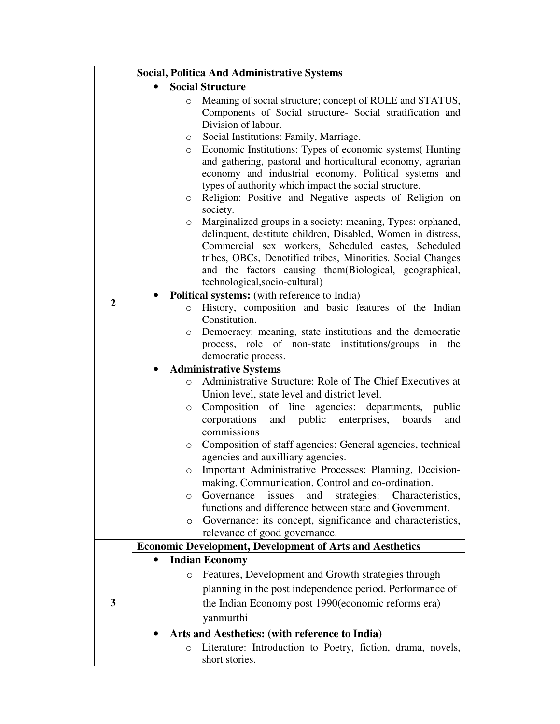|                |          | <b>Social, Politica And Administrative Systems</b>                                       |
|----------------|----------|------------------------------------------------------------------------------------------|
|                |          | <b>Social Structure</b>                                                                  |
|                | $\circ$  | Meaning of social structure; concept of ROLE and STATUS,                                 |
|                |          | Components of Social structure- Social stratification and                                |
|                |          | Division of labour.                                                                      |
|                | O        | Social Institutions: Family, Marriage.                                                   |
|                | $\circ$  | Economic Institutions: Types of economic systems (Hunting                                |
|                |          | and gathering, pastoral and horticultural economy, agrarian                              |
|                |          | economy and industrial economy. Political systems and                                    |
|                |          | types of authority which impact the social structure.                                    |
|                | $\circ$  | Religion: Positive and Negative aspects of Religion on                                   |
|                |          | society.                                                                                 |
|                | $\circ$  | Marginalized groups in a society: meaning, Types: orphaned,                              |
|                |          | delinquent, destitute children, Disabled, Women in distress,                             |
|                |          | Commercial sex workers, Scheduled castes, Scheduled                                      |
|                |          | tribes, OBCs, Denotified tribes, Minorities. Social Changes                              |
|                |          | and the factors causing them(Biological, geographical,<br>technological, socio-cultural) |
|                |          | <b>Political systems:</b> (with reference to India)                                      |
| $\overline{2}$ | $\circ$  | History, composition and basic features of the Indian                                    |
|                |          | Constitution.                                                                            |
|                | $\circ$  | Democracy: meaning, state institutions and the democratic                                |
|                |          | process, role of non-state institutions/groups in the                                    |
|                |          | democratic process.                                                                      |
|                |          | <b>Administrative Systems</b>                                                            |
|                | $\Omega$ | Administrative Structure: Role of The Chief Executives at                                |
|                |          | Union level, state level and district level.                                             |
|                | $\circ$  | Composition of line agencies: departments, public                                        |
|                |          | and public enterprises, boards<br>corporations<br>and                                    |
|                |          | commissions                                                                              |
|                | O        | Composition of staff agencies: General agencies, technical                               |
|                |          | agencies and auxilliary agencies.                                                        |
|                | $\circ$  | Important Administrative Processes: Planning, Decision-                                  |
|                |          | making, Communication, Control and co-ordination.                                        |
|                | $\circ$  | Governance<br>strategies:<br>issues<br>and<br>Characteristics,                           |
|                |          | functions and difference between state and Government.                                   |
|                | О        | Governance: its concept, significance and characteristics,                               |
|                |          | relevance of good governance.                                                            |
|                |          | <b>Economic Development, Development of Arts and Aesthetics</b>                          |
|                |          | <b>Indian Economy</b>                                                                    |
|                | $\circ$  | Features, Development and Growth strategies through                                      |
|                |          | planning in the post independence period. Performance of                                 |
| 3              |          | the Indian Economy post 1990 (economic reforms era)                                      |
|                |          | yanmurthi                                                                                |
|                |          | Arts and Aesthetics: (with reference to India)                                           |
|                | $\circ$  | Literature: Introduction to Poetry, fiction, drama, novels,                              |
|                |          | short stories.                                                                           |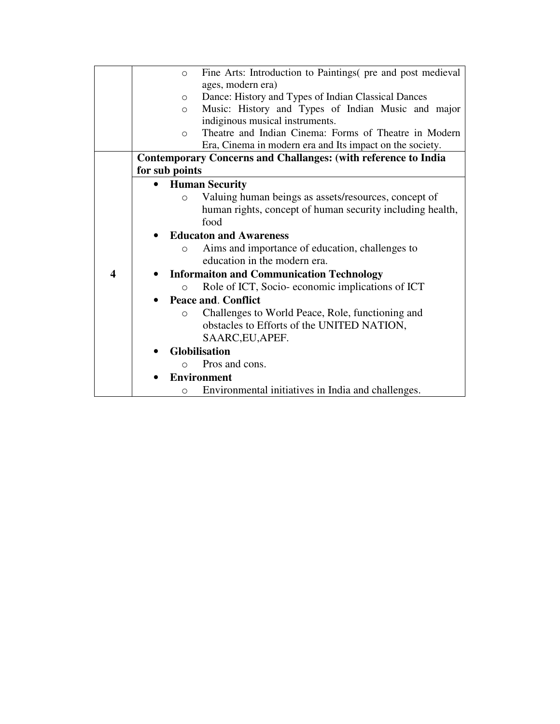|   |                | $\circlearrowright$ | Fine Arts: Introduction to Paintings( pre and post medieval           |
|---|----------------|---------------------|-----------------------------------------------------------------------|
|   |                |                     | ages, modern era)                                                     |
|   |                | $\circ$             | Dance: History and Types of Indian Classical Dances                   |
|   |                | $\circ$             | Music: History and Types of Indian Music and major                    |
|   |                |                     | indiginous musical instruments.                                       |
|   |                | $\Omega$            | Theatre and Indian Cinema: Forms of Theatre in Modern                 |
|   |                |                     | Era, Cinema in modern era and Its impact on the society.              |
|   |                |                     | <b>Contemporary Concerns and Challanges: (with reference to India</b> |
|   | for sub points |                     |                                                                       |
|   |                |                     | <b>Human Security</b>                                                 |
|   |                | $\Omega$            | Valuing human beings as assets/resources, concept of                  |
|   |                |                     | human rights, concept of human security including health,             |
|   |                |                     | food                                                                  |
|   |                |                     | <b>Educaton and Awareness</b>                                         |
|   |                | $\circ$             | Aims and importance of education, challenges to                       |
|   |                |                     | education in the modern era.                                          |
| 4 |                |                     | <b>Informaiton and Communication Technology</b>                       |
|   |                | $\Omega$            | Role of ICT, Socio-economic implications of ICT                       |
|   |                |                     | <b>Peace and. Conflict</b>                                            |
|   |                | $\circ$             | Challenges to World Peace, Role, functioning and                      |
|   |                |                     | obstacles to Efforts of the UNITED NATION,                            |
|   |                |                     | SAARC, EU, APEF.                                                      |
|   |                |                     | Globilisation                                                         |
|   |                | $\bigcirc$          | Pros and cons.                                                        |
|   |                |                     |                                                                       |
|   |                |                     | <b>Environment</b>                                                    |
|   |                | $\Omega$            | Environmental initiatives in India and challenges.                    |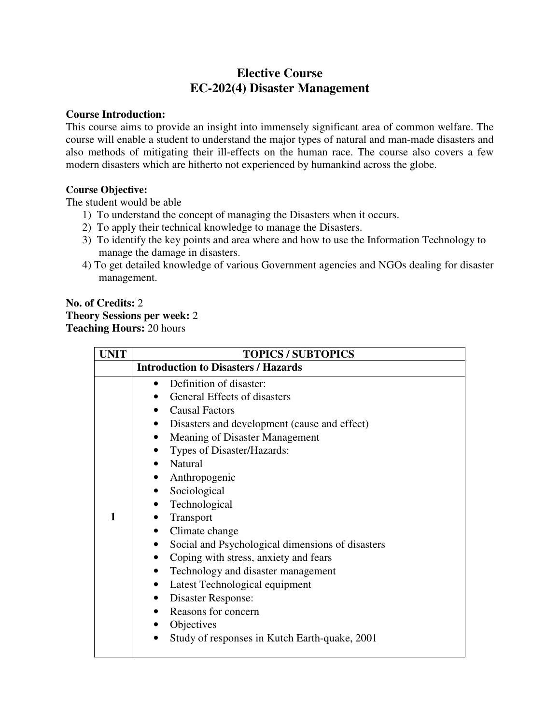# **Elective Course EC-202(4) Disaster Management**

#### **Course Introduction:**

This course aims to provide an insight into immensely significant area of common welfare. The course will enable a student to understand the major types of natural and man-made disasters and also methods of mitigating their ill-effects on the human race. The course also covers a few modern disasters which are hitherto not experienced by humankind across the globe.

#### **Course Objective:**

The student would be able

- 1) To understand the concept of managing the Disasters when it occurs.
- 2) To apply their technical knowledge to manage the Disasters.
- 3) To identify the key points and area where and how to use the Information Technology to manage the damage in disasters.
- 4) To get detailed knowledge of various Government agencies and NGOs dealing for disaster management.

# **No. of Credits:** 2 **Theory Sessions per week:** 2 **Teaching Hours:** 20 hours

| <b>UNIT</b> | <b>TOPICS / SUBTOPICS</b>                                     |
|-------------|---------------------------------------------------------------|
|             | <b>Introduction to Disasters / Hazards</b>                    |
|             | Definition of disaster:                                       |
|             | General Effects of disasters                                  |
|             | <b>Causal Factors</b><br>$\bullet$                            |
|             | Disasters and development (cause and effect)<br>٠             |
|             | Meaning of Disaster Management<br>$\bullet$                   |
|             | Types of Disaster/Hazards:                                    |
|             | Natural                                                       |
|             | Anthropogenic                                                 |
|             | Sociological<br>$\bullet$                                     |
|             | Technological<br>$\bullet$                                    |
| 1           | Transport                                                     |
|             | Climate change<br>$\bullet$                                   |
|             | Social and Psychological dimensions of disasters<br>$\bullet$ |
|             | Coping with stress, anxiety and fears                         |
|             | Technology and disaster management<br>٠                       |
|             | Latest Technological equipment<br>$\bullet$                   |
|             | Disaster Response:                                            |
|             | Reasons for concern                                           |
|             | Objectives                                                    |
|             | Study of responses in Kutch Earth-quake, 2001                 |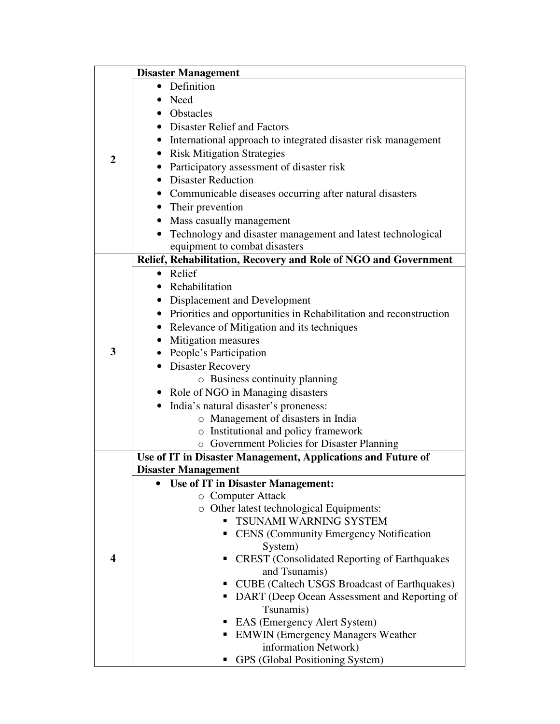|                | <b>Disaster Management</b>                                                                 |  |  |  |  |  |
|----------------|--------------------------------------------------------------------------------------------|--|--|--|--|--|
|                | Definition<br>$\bullet$                                                                    |  |  |  |  |  |
|                | <b>Need</b>                                                                                |  |  |  |  |  |
|                | Obstacles                                                                                  |  |  |  |  |  |
|                | • Disaster Relief and Factors                                                              |  |  |  |  |  |
|                | International approach to integrated disaster risk management                              |  |  |  |  |  |
| $\overline{2}$ | • Risk Mitigation Strategies                                                               |  |  |  |  |  |
|                | Participatory assessment of disaster risk                                                  |  |  |  |  |  |
|                | • Disaster Reduction                                                                       |  |  |  |  |  |
|                | • Communicable diseases occurring after natural disasters                                  |  |  |  |  |  |
|                | • Their prevention                                                                         |  |  |  |  |  |
|                | • Mass casually management                                                                 |  |  |  |  |  |
|                | Technology and disaster management and latest technological                                |  |  |  |  |  |
|                | equipment to combat disasters                                                              |  |  |  |  |  |
|                | Relief, Rehabilitation, Recovery and Role of NGO and Government                            |  |  |  |  |  |
|                | • Relief                                                                                   |  |  |  |  |  |
|                | Rehabilitation                                                                             |  |  |  |  |  |
|                | • Displacement and Development                                                             |  |  |  |  |  |
|                | • Priorities and opportunities in Rehabilitation and reconstruction                        |  |  |  |  |  |
|                | Relevance of Mitigation and its techniques                                                 |  |  |  |  |  |
|                | • Mitigation measures                                                                      |  |  |  |  |  |
| 3              | • People's Participation                                                                   |  |  |  |  |  |
|                | • Disaster Recovery                                                                        |  |  |  |  |  |
|                | $\circ$ Business continuity planning                                                       |  |  |  |  |  |
|                | • Role of NGO in Managing disasters                                                        |  |  |  |  |  |
|                | • India's natural disaster's proneness:                                                    |  |  |  |  |  |
|                | o Management of disasters in India                                                         |  |  |  |  |  |
|                | o Institutional and policy framework                                                       |  |  |  |  |  |
|                | o Government Policies for Disaster Planning                                                |  |  |  |  |  |
|                | Use of IT in Disaster Management, Applications and Future of<br><b>Disaster Management</b> |  |  |  |  |  |
|                | Use of IT in Disaster Management:                                                          |  |  |  |  |  |
|                | o Computer Attack                                                                          |  |  |  |  |  |
|                | o Other latest technological Equipments:                                                   |  |  |  |  |  |
|                | TSUNAMI WARNING SYSTEM                                                                     |  |  |  |  |  |
|                | <b>CENS</b> (Community Emergency Notification                                              |  |  |  |  |  |
|                | System)                                                                                    |  |  |  |  |  |
| 4              | <b>CREST</b> (Consolidated Reporting of Earthquakes                                        |  |  |  |  |  |
|                | and Tsunamis)                                                                              |  |  |  |  |  |
|                | <b>CUBE</b> (Caltech USGS Broadcast of Earthquakes)                                        |  |  |  |  |  |
|                | DART (Deep Ocean Assessment and Reporting of                                               |  |  |  |  |  |
|                | Tsunamis)                                                                                  |  |  |  |  |  |
|                | EAS (Emergency Alert System)                                                               |  |  |  |  |  |
|                | <b>EMWIN</b> (Emergency Managers Weather                                                   |  |  |  |  |  |
|                | information Network)                                                                       |  |  |  |  |  |
|                | GPS (Global Positioning System)                                                            |  |  |  |  |  |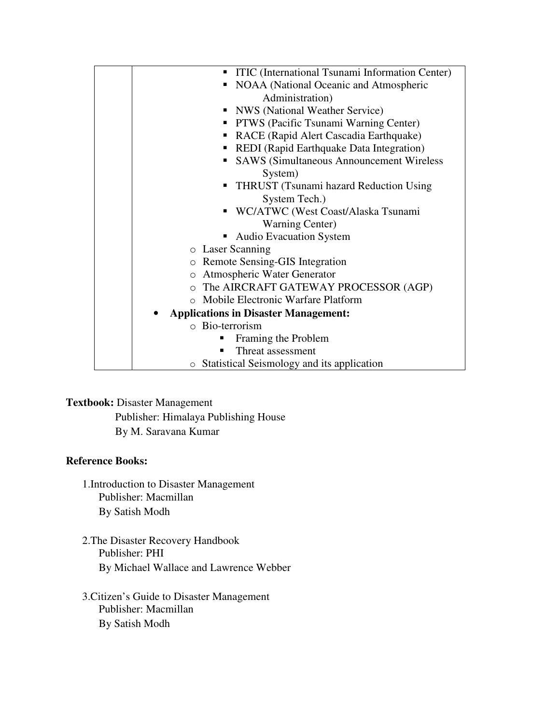| <b>ITIC</b> (International Tsunami Information Center) |
|--------------------------------------------------------|
| NOAA (National Oceanic and Atmospheric                 |
| Administration)                                        |
| • NWS (National Weather Service)                       |
| PTWS (Pacific Tsunami Warning Center)<br>п.            |
| RACE (Rapid Alert Cascadia Earthquake)                 |
| REDI (Rapid Earthquake Data Integration)               |
| <b>SAWS (Simultaneous Announcement Wireless)</b>       |
| System)                                                |
| <b>THRUST</b> (Tsunami hazard Reduction Using          |
| System Tech.)                                          |
| WC/ATWC (West Coast/Alaska Tsunami                     |
| <b>Warning Center</b> )                                |
| <b>Audio Evacuation System</b>                         |
| o Laser Scanning                                       |
| Remote Sensing-GIS Integration<br>$\circ$              |
| Atmospheric Water Generator<br>$\circ$                 |
| o The AIRCRAFT GATEWAY PROCESSOR (AGP)                 |
| Mobile Electronic Warfare Platform                     |
| <b>Applications in Disaster Management:</b>            |
| o Bio-terrorism                                        |
| Framing the Problem                                    |
| Threat assessment                                      |
| o Statistical Seismology and its application           |

# **Textbook:** Disaster Management

Publisher: Himalaya Publishing House By M. Saravana Kumar

### **Reference Books:**

- 1.Introduction to Disaster Management Publisher: Macmillan By Satish Modh
- 2.The Disaster Recovery Handbook Publisher: PHI By Michael Wallace and Lawrence Webber
- 3.Citizen's Guide to Disaster Management Publisher: Macmillan By Satish Modh